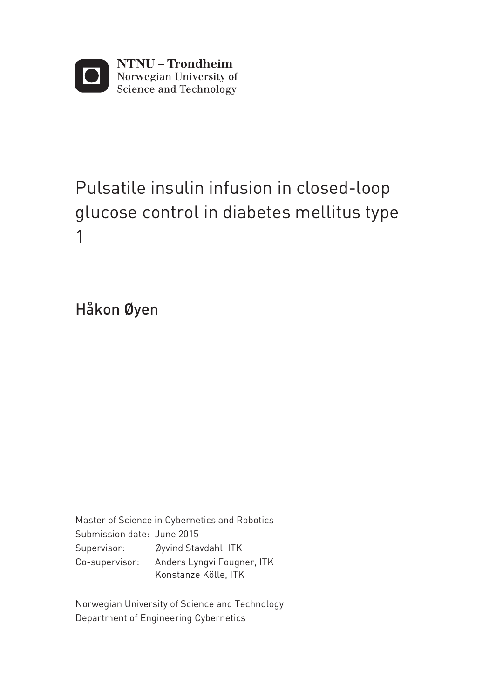

# Pulsatile insulin infusion in closed-loop glucose control in diabetes mellitus type 1

Håkon Øyen

Master of Science in Cybernetics and Robotics Supervisor: Øyvind Stavdahl, ITK Co-supervisor: Anders Lyngvi Fougner, ITK Konstanze Kölle, ITK Submission date: June 2015

Department of Engineering Cybernetics Norwegian University of Science and Technology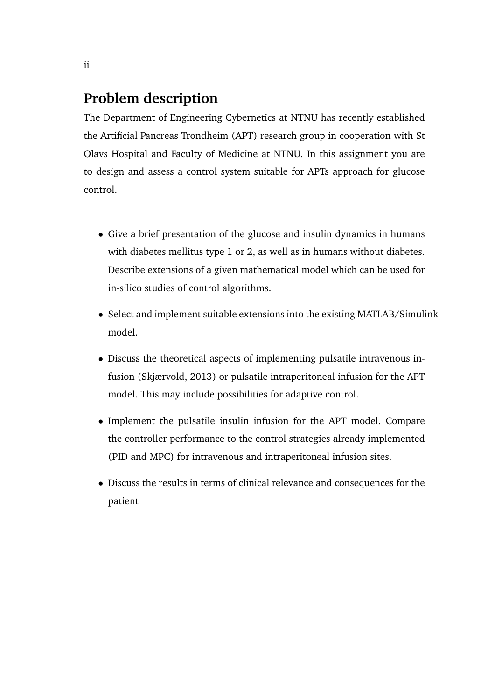## **Problem description**

The Department of Engineering Cybernetics at NTNU has recently established the Artificial Pancreas Trondheim (APT) research group in cooperation with St Olavs Hospital and Faculty of Medicine at NTNU. In this assignment you are to design and assess a control system suitable for APTs approach for glucose control.

- Give a brief presentation of the glucose and insulin dynamics in humans with diabetes mellitus type 1 or 2, as well as in humans without diabetes. Describe extensions of a given mathematical model which can be used for in-silico studies of control algorithms.
- Select and implement suitable extensions into the existing MATLAB/Simulinkmodel.
- Discuss the theoretical aspects of implementing pulsatile intravenous infusion (Skjærvold, 2013) or pulsatile intraperitoneal infusion for the APT model. This may include possibilities for adaptive control.
- Implement the pulsatile insulin infusion for the APT model. Compare the controller performance to the control strategies already implemented (PID and MPC) for intravenous and intraperitoneal infusion sites.
- Discuss the results in terms of clinical relevance and consequences for the patient

ii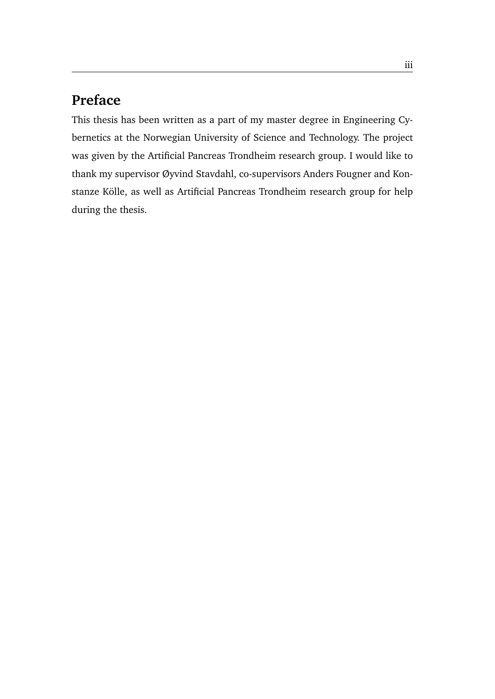# **Preface**

This thesis has been written as a part of my master degree in Engineering Cybernetics at the Norwegian University of Science and Technology. The project was given by the Artificial Pancreas Trondheim research group. I would like to thank my supervisor Øyvind Stavdahl, co-supervisors Anders Fougner and Konstanze Kölle, as well as Artificial Pancreas Trondheim research group for help during the thesis.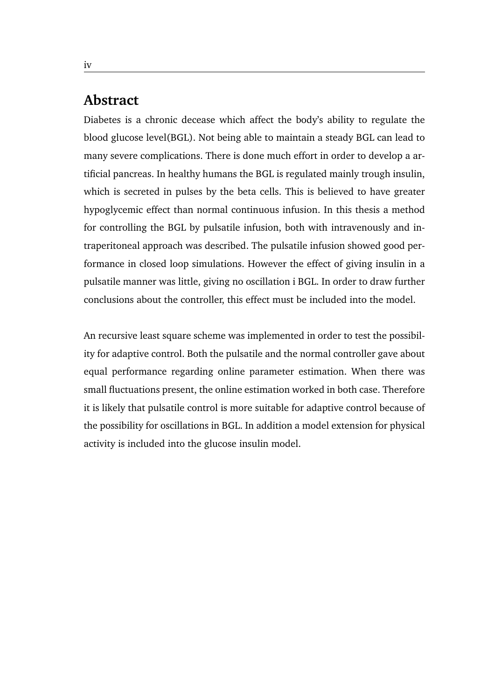### **Abstract**

Diabetes is a chronic decease which affect the body's ability to regulate the blood glucose level(BGL). Not being able to maintain a steady BGL can lead to many severe complications. There is done much effort in order to develop a artificial pancreas. In healthy humans the BGL is regulated mainly trough insulin, which is secreted in pulses by the beta cells. This is believed to have greater hypoglycemic effect than normal continuous infusion. In this thesis a method for controlling the BGL by pulsatile infusion, both with intravenously and intraperitoneal approach was described. The pulsatile infusion showed good performance in closed loop simulations. However the effect of giving insulin in a pulsatile manner was little, giving no oscillation i BGL. In order to draw further conclusions about the controller, this effect must be included into the model.

An recursive least square scheme was implemented in order to test the possibility for adaptive control. Both the pulsatile and the normal controller gave about equal performance regarding online parameter estimation. When there was small fluctuations present, the online estimation worked in both case. Therefore it is likely that pulsatile control is more suitable for adaptive control because of the possibility for oscillations in BGL. In addition a model extension for physical activity is included into the glucose insulin model.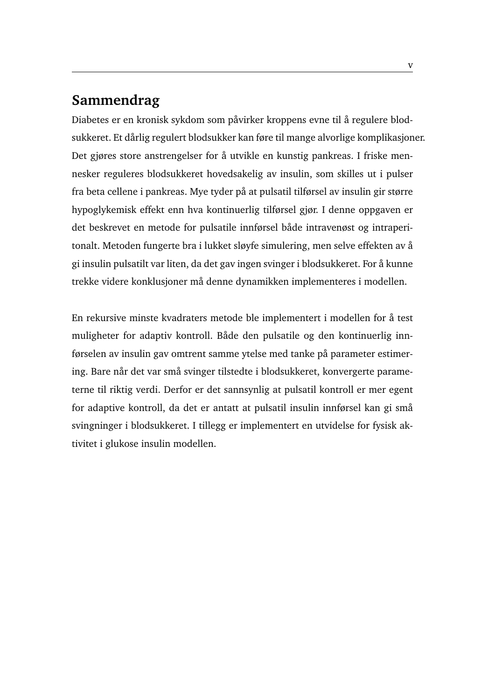# **Sammendrag**

Diabetes er en kronisk sykdom som påvirker kroppens evne til å regulere blodsukkeret. Et dårlig regulert blodsukker kan føre til mange alvorlige komplikasjoner. Det gjøres store anstrengelser for å utvikle en kunstig pankreas. I friske mennesker reguleres blodsukkeret hovedsakelig av insulin, som skilles ut i pulser fra beta cellene i pankreas. Mye tyder på at pulsatil tilførsel av insulin gir større hypoglykemisk effekt enn hva kontinuerlig tilførsel gjør. I denne oppgaven er det beskrevet en metode for pulsatile innførsel både intravenøst og intraperitonalt. Metoden fungerte bra i lukket sløyfe simulering, men selve effekten av å gi insulin pulsatilt var liten, da det gav ingen svinger i blodsukkeret. For å kunne trekke videre konklusjoner må denne dynamikken implementeres i modellen.

En rekursive minste kvadraters metode ble implementert i modellen for å test muligheter for adaptiv kontroll. Både den pulsatile og den kontinuerlig innførselen av insulin gav omtrent samme ytelse med tanke på parameter estimering. Bare når det var små svinger tilstedte i blodsukkeret, konvergerte parameterne til riktig verdi. Derfor er det sannsynlig at pulsatil kontroll er mer egent for adaptive kontroll, da det er antatt at pulsatil insulin innførsel kan gi små svingninger i blodsukkeret. I tillegg er implementert en utvidelse for fysisk aktivitet i glukose insulin modellen.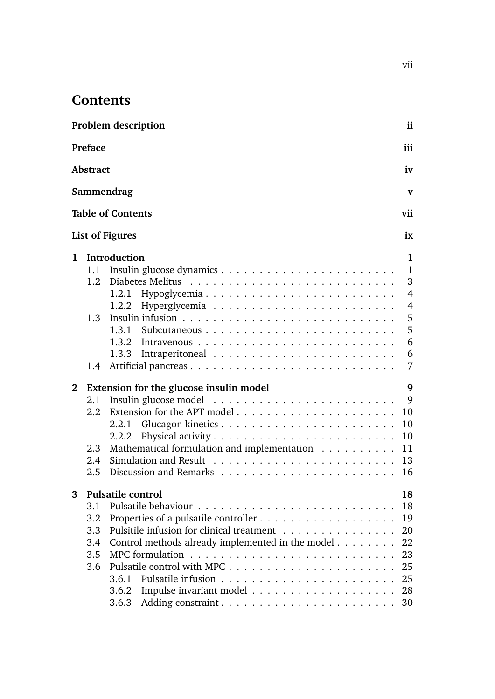# **Contents**

|              |                 | <b>Problem description</b>                                                      | ii             |
|--------------|-----------------|---------------------------------------------------------------------------------|----------------|
|              | Preface         |                                                                                 | iii            |
|              | <b>Abstract</b> |                                                                                 | iv             |
|              |                 | Sammendrag                                                                      | $\mathbf v$    |
|              |                 | <b>Table of Contents</b>                                                        | vii            |
|              |                 | <b>List of Figures</b>                                                          | ix             |
| 1            |                 | Introduction                                                                    | $\mathbf{1}$   |
|              | 1.1             |                                                                                 | $\mathbf{1}$   |
|              | 1.2             |                                                                                 | 3              |
|              |                 | Hypoglycemia<br>1.2.1                                                           | $\overline{4}$ |
|              |                 | 1.2.2                                                                           | $\overline{4}$ |
|              | 1.3             |                                                                                 | 5              |
|              |                 | 1.3.1                                                                           | 5              |
|              |                 |                                                                                 | 6              |
|              |                 | 1.3.3                                                                           | 6              |
|              | 1.4             |                                                                                 | 7              |
| $\mathbf{2}$ |                 | Extension for the glucose insulin model                                         | 9              |
|              | 2.1             | Insulin glucose model $\ldots \ldots \ldots \ldots \ldots \ldots \ldots \ldots$ | 9              |
|              | $2.2^{\circ}$   |                                                                                 | 10             |
|              |                 | 2.2.1                                                                           | 10             |
|              |                 | 2.2.2                                                                           | 10             |
|              | 2.3             | Mathematical formulation and implementation                                     | 11             |
|              | $2.4^{\circ}$   |                                                                                 | 13             |
|              | 2.5             |                                                                                 | 16             |
| 3            |                 | <b>Pulsatile control</b>                                                        | 18             |
|              | 3.1             |                                                                                 | 18             |
|              | 3.2             |                                                                                 | 19             |
|              | 3.3             | Pulsitile infusion for clinical treatment                                       | 20             |
|              | 3.4             | Control methods already implemented in the model                                | 22             |
|              | 3.5             |                                                                                 | 23             |
|              | 3.6             |                                                                                 | 25             |
|              |                 | 3.6.1                                                                           | 25             |
|              |                 | 3.6.2                                                                           |                |
|              |                 | 3.6.3                                                                           |                |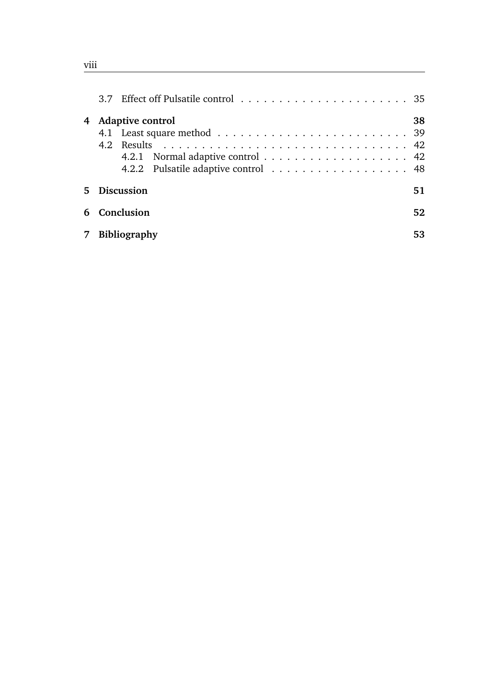| 4           | <b>Adaptive control</b><br>4.2.2 Pulsatile adaptive control 48 | 38 |
|-------------|----------------------------------------------------------------|----|
| $5^{\circ}$ | <b>Discussion</b>                                              | 51 |
| 6           | Conclusion                                                     | 52 |
| $7^{\circ}$ | <b>Bibliography</b>                                            | 53 |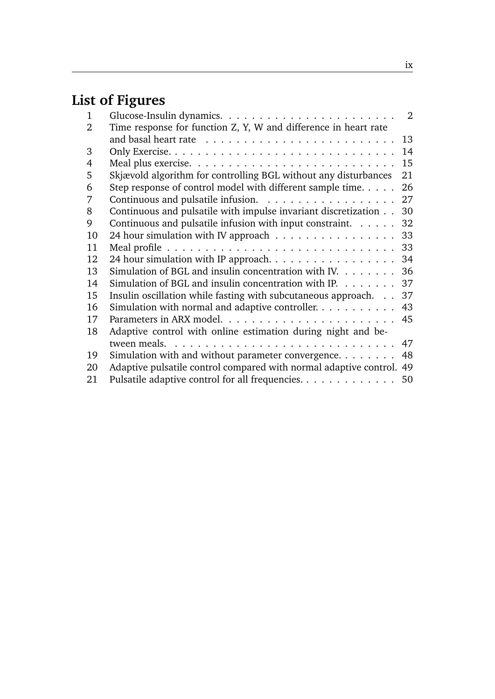# **List of Figures**

| 1  |                                                                               | 2  |
|----|-------------------------------------------------------------------------------|----|
| 2  | Time response for function Z, Y, W and difference in heart rate               |    |
|    |                                                                               | 13 |
| 3  |                                                                               | 14 |
| 4  |                                                                               | 15 |
| 5  | Skjævold algorithm for controlling BGL without any disturbances               | 21 |
| 6  | Step response of control model with different sample time. $\dots$ .          | 26 |
| 7  | Continuous and pulsatile infusion. $\ldots \ldots \ldots \ldots \ldots$       | 27 |
| 8  | Continuous and pulsatile with impulse invariant discretization                | 30 |
| 9  | Continuous and pulsatile infusion with input constraint. $\dots$ .            | 32 |
| 10 | 24 hour simulation with IV approach                                           | 33 |
| 11 |                                                                               | 33 |
| 12 | 24 hour simulation with IP approach.                                          | 34 |
| 13 | Simulation of BGL and insulin concentration with IV. $\dots$                  | 36 |
| 14 | Simulation of BGL and insulin concentration with IP. $\dots \dots$            | 37 |
| 15 | Insulin oscillation while fasting with subcutaneous approach.                 | 37 |
| 16 | Simulation with normal and adaptive controller. $\dots \dots \dots$           | 43 |
| 17 |                                                                               | 45 |
| 18 | Adaptive control with online estimation during night and be-                  |    |
|    | tween meals. $\ldots \ldots \ldots \ldots \ldots \ldots \ldots \ldots \ldots$ | 47 |
| 19 | Simulation with and without parameter convergence. $\dots \dots$              | 48 |
| 20 | Adaptive pulsatile control compared with normal adaptive control.             | 49 |
| 21 | Pulsatile adaptive control for all frequencies.                               | 50 |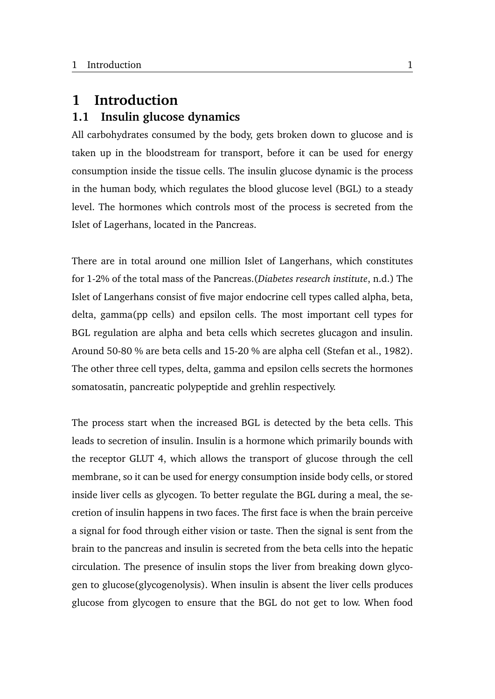### <span id="page-12-0"></span>**1 Introduction**

### <span id="page-12-1"></span>**1.1 Insulin glucose dynamics**

All carbohydrates consumed by the body, gets broken down to glucose and is taken up in the bloodstream for transport, before it can be used for energy consumption inside the tissue cells. The insulin glucose dynamic is the process in the human body, which regulates the blood glucose level (BGL) to a steady level. The hormones which controls most of the process is secreted from the Islet of Lagerhans, located in the Pancreas.

There are in total around one million Islet of Langerhans, which constitutes for 1-2% of the total mass of the Pancreas.(*[Diabetes research institute](#page-64-1)*, [n.d.\)](#page-64-1) The Islet of Langerhans consist of five major endocrine cell types called alpha, beta, delta, gamma(pp cells) and epsilon cells. The most important cell types for BGL regulation are alpha and beta cells which secretes glucagon and insulin. Around 50-80 % are beta cells and 15-20 % are alpha cell [\(Stefan et al.,](#page-66-0) [1982\)](#page-66-0). The other three cell types, delta, gamma and epsilon cells secrets the hormones somatosatin, pancreatic polypeptide and grehlin respectively.

The process start when the increased BGL is detected by the beta cells. This leads to secretion of insulin. Insulin is a hormone which primarily bounds with the receptor GLUT 4, which allows the transport of glucose through the cell membrane, so it can be used for energy consumption inside body cells, or stored inside liver cells as glycogen. To better regulate the BGL during a meal, the secretion of insulin happens in two faces. The first face is when the brain perceive a signal for food through either vision or taste. Then the signal is sent from the brain to the pancreas and insulin is secreted from the beta cells into the hepatic circulation. The presence of insulin stops the liver from breaking down glycogen to glucose(glycogenolysis). When insulin is absent the liver cells produces glucose from glycogen to ensure that the BGL do not get to low. When food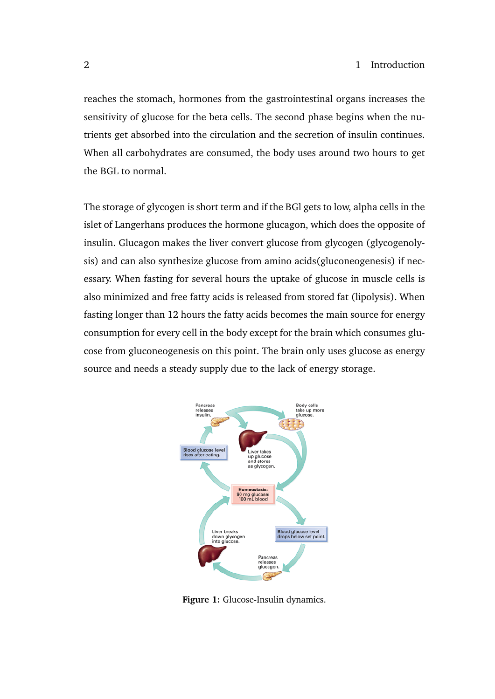reaches the stomach, hormones from the gastrointestinal organs increases the sensitivity of glucose for the beta cells. The second phase begins when the nutrients get absorbed into the circulation and the secretion of insulin continues. When all carbohydrates are consumed, the body uses around two hours to get the BGL to normal.

The storage of glycogen is short term and if the BGl gets to low, alpha cells in the islet of Langerhans produces the hormone glucagon, which does the opposite of insulin. Glucagon makes the liver convert glucose from glycogen (glycogenolysis) and can also synthesize glucose from amino acids(gluconeogenesis) if necessary. When fasting for several hours the uptake of glucose in muscle cells is also minimized and free fatty acids is released from stored fat (lipolysis). When fasting longer than 12 hours the fatty acids becomes the main source for energy consumption for every cell in the body except for the brain which consumes glucose from gluconeogenesis on this point. The brain only uses glucose as energy source and needs a steady supply due to the lack of energy storage.

<span id="page-13-0"></span>

**Figure 1:** Glucose-Insulin dynamics.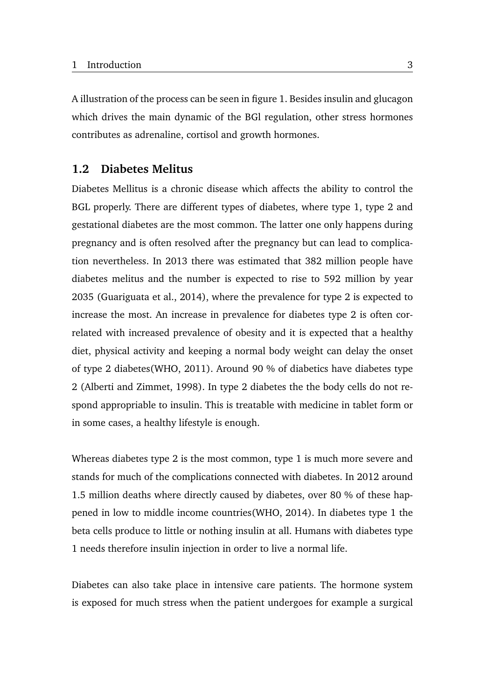A illustration of the process can be seen in figure [1.](#page-13-0) Besides insulin and glucagon which drives the main dynamic of the BGl regulation, other stress hormones contributes as adrenaline, cortisol and growth hormones.

### <span id="page-14-0"></span>**1.2 Diabetes Melitus**

Diabetes Mellitus is a chronic disease which affects the ability to control the BGL properly. There are different types of diabetes, where type 1, type 2 and gestational diabetes are the most common. The latter one only happens during pregnancy and is often resolved after the pregnancy but can lead to complication nevertheless. In 2013 there was estimated that 382 million people have diabetes melitus and the number is expected to rise to 592 million by year 2035 [\(Guariguata et al.,](#page-65-0) [2014\)](#page-65-0), where the prevalence for type 2 is expected to increase the most. An increase in prevalence for diabetes type 2 is often correlated with increased prevalence of obesity and it is expected that a healthy diet, physical activity and keeping a normal body weight can delay the onset of type 2 diabetes[\(WHO,](#page-66-1) [2011\)](#page-66-1). Around 90 % of diabetics have diabetes type 2 [\(Alberti and Zimmet,](#page-64-2) [1998\)](#page-64-2). In type 2 diabetes the the body cells do not respond appropriable to insulin. This is treatable with medicine in tablet form or in some cases, a healthy lifestyle is enough.

Whereas diabetes type 2 is the most common, type 1 is much more severe and stands for much of the complications connected with diabetes. In 2012 around 1.5 million deaths where directly caused by diabetes, over 80 % of these happened in low to middle income countries[\(WHO,](#page-66-2) [2014\)](#page-66-2). In diabetes type 1 the beta cells produce to little or nothing insulin at all. Humans with diabetes type 1 needs therefore insulin injection in order to live a normal life.

Diabetes can also take place in intensive care patients. The hormone system is exposed for much stress when the patient undergoes for example a surgical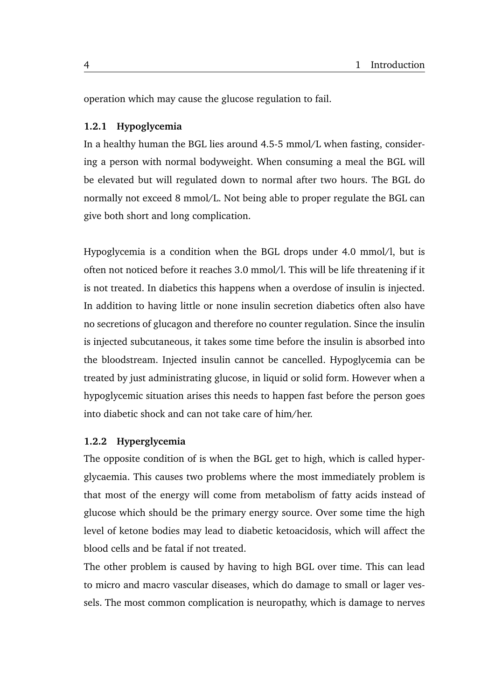operation which may cause the glucose regulation to fail.

### <span id="page-15-0"></span>**1.2.1 Hypoglycemia**

In a healthy human the BGL lies around 4.5-5 mmol/L when fasting, considering a person with normal bodyweight. When consuming a meal the BGL will be elevated but will regulated down to normal after two hours. The BGL do normally not exceed 8 mmol/L. Not being able to proper regulate the BGL can give both short and long complication.

Hypoglycemia is a condition when the BGL drops under 4.0 mmol/l, but is often not noticed before it reaches 3.0 mmol/l. This will be life threatening if it is not treated. In diabetics this happens when a overdose of insulin is injected. In addition to having little or none insulin secretion diabetics often also have no secretions of glucagon and therefore no counter regulation. Since the insulin is injected subcutaneous, it takes some time before the insulin is absorbed into the bloodstream. Injected insulin cannot be cancelled. Hypoglycemia can be treated by just administrating glucose, in liquid or solid form. However when a hypoglycemic situation arises this needs to happen fast before the person goes into diabetic shock and can not take care of him/her.

### <span id="page-15-1"></span>**1.2.2 Hyperglycemia**

The opposite condition of is when the BGL get to high, which is called hyperglycaemia. This causes two problems where the most immediately problem is that most of the energy will come from metabolism of fatty acids instead of glucose which should be the primary energy source. Over some time the high level of ketone bodies may lead to diabetic ketoacidosis, which will affect the blood cells and be fatal if not treated.

The other problem is caused by having to high BGL over time. This can lead to micro and macro vascular diseases, which do damage to small or lager vessels. The most common complication is neuropathy, which is damage to nerves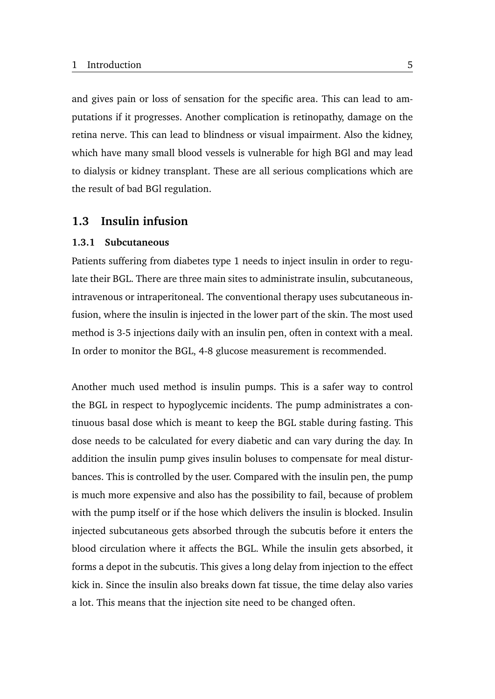and gives pain or loss of sensation for the specific area. This can lead to amputations if it progresses. Another complication is retinopathy, damage on the retina nerve. This can lead to blindness or visual impairment. Also the kidney, which have many small blood vessels is vulnerable for high BGl and may lead to dialysis or kidney transplant. These are all serious complications which are the result of bad BGl regulation.

### <span id="page-16-0"></span>**1.3 Insulin infusion**

### <span id="page-16-1"></span>**1.3.1 Subcutaneous**

Patients suffering from diabetes type 1 needs to inject insulin in order to regulate their BGL. There are three main sites to administrate insulin, subcutaneous, intravenous or intraperitoneal. The conventional therapy uses subcutaneous infusion, where the insulin is injected in the lower part of the skin. The most used method is 3-5 injections daily with an insulin pen, often in context with a meal. In order to monitor the BGL, 4-8 glucose measurement is recommended.

Another much used method is insulin pumps. This is a safer way to control the BGL in respect to hypoglycemic incidents. The pump administrates a continuous basal dose which is meant to keep the BGL stable during fasting. This dose needs to be calculated for every diabetic and can vary during the day. In addition the insulin pump gives insulin boluses to compensate for meal disturbances. This is controlled by the user. Compared with the insulin pen, the pump is much more expensive and also has the possibility to fail, because of problem with the pump itself or if the hose which delivers the insulin is blocked. Insulin injected subcutaneous gets absorbed through the subcutis before it enters the blood circulation where it affects the BGL. While the insulin gets absorbed, it forms a depot in the subcutis. This gives a long delay from injection to the effect kick in. Since the insulin also breaks down fat tissue, the time delay also varies a lot. This means that the injection site need to be changed often.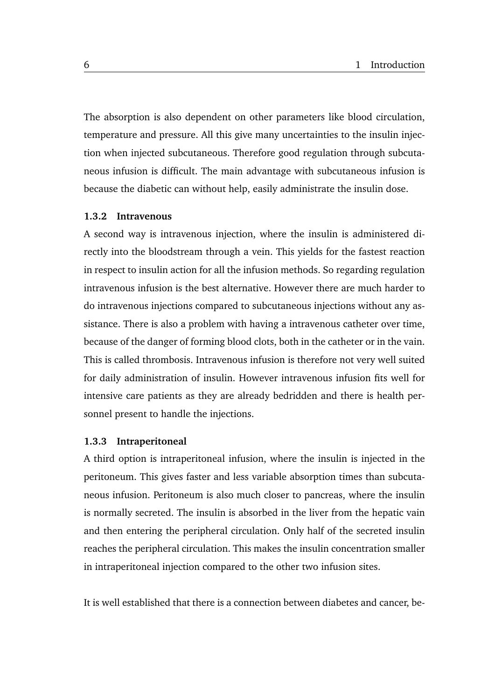The absorption is also dependent on other parameters like blood circulation, temperature and pressure. All this give many uncertainties to the insulin injection when injected subcutaneous. Therefore good regulation through subcutaneous infusion is difficult. The main advantage with subcutaneous infusion is because the diabetic can without help, easily administrate the insulin dose.

#### <span id="page-17-0"></span>**1.3.2 Intravenous**

A second way is intravenous injection, where the insulin is administered directly into the bloodstream through a vein. This yields for the fastest reaction in respect to insulin action for all the infusion methods. So regarding regulation intravenous infusion is the best alternative. However there are much harder to do intravenous injections compared to subcutaneous injections without any assistance. There is also a problem with having a intravenous catheter over time, because of the danger of forming blood clots, both in the catheter or in the vain. This is called thrombosis. Intravenous infusion is therefore not very well suited for daily administration of insulin. However intravenous infusion fits well for intensive care patients as they are already bedridden and there is health personnel present to handle the injections.

#### <span id="page-17-1"></span>**1.3.3 Intraperitoneal**

A third option is intraperitoneal infusion, where the insulin is injected in the peritoneum. This gives faster and less variable absorption times than subcutaneous infusion. Peritoneum is also much closer to pancreas, where the insulin is normally secreted. The insulin is absorbed in the liver from the hepatic vain and then entering the peripheral circulation. Only half of the secreted insulin reaches the peripheral circulation. This makes the insulin concentration smaller in intraperitoneal injection compared to the other two infusion sites.

It is well established that there is a connection between diabetes and cancer, be-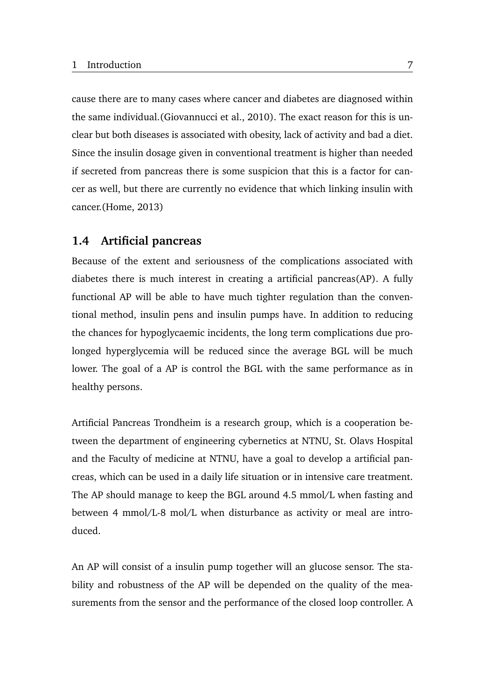cause there are to many cases where cancer and diabetes are diagnosed within the same individual.[\(Giovannucci et al.,](#page-65-1) [2010\)](#page-65-1). The exact reason for this is unclear but both diseases is associated with obesity, lack of activity and bad a diet. Since the insulin dosage given in conventional treatment is higher than needed if secreted from pancreas there is some suspicion that this is a factor for cancer as well, but there are currently no evidence that which linking insulin with cancer.[\(Home,](#page-65-2) [2013\)](#page-65-2)

### <span id="page-18-0"></span>**1.4 Artificial pancreas**

Because of the extent and seriousness of the complications associated with diabetes there is much interest in creating a artificial pancreas(AP). A fully functional AP will be able to have much tighter regulation than the conventional method, insulin pens and insulin pumps have. In addition to reducing the chances for hypoglycaemic incidents, the long term complications due prolonged hyperglycemia will be reduced since the average BGL will be much lower. The goal of a AP is control the BGL with the same performance as in healthy persons.

Artificial Pancreas Trondheim is a research group, which is a cooperation between the department of engineering cybernetics at NTNU, St. Olavs Hospital and the Faculty of medicine at NTNU, have a goal to develop a artificial pancreas, which can be used in a daily life situation or in intensive care treatment. The AP should manage to keep the BGL around 4.5 mmol/L when fasting and between 4 mmol/L-8 mol/L when disturbance as activity or meal are introduced.

An AP will consist of a insulin pump together will an glucose sensor. The stability and robustness of the AP will be depended on the quality of the measurements from the sensor and the performance of the closed loop controller. A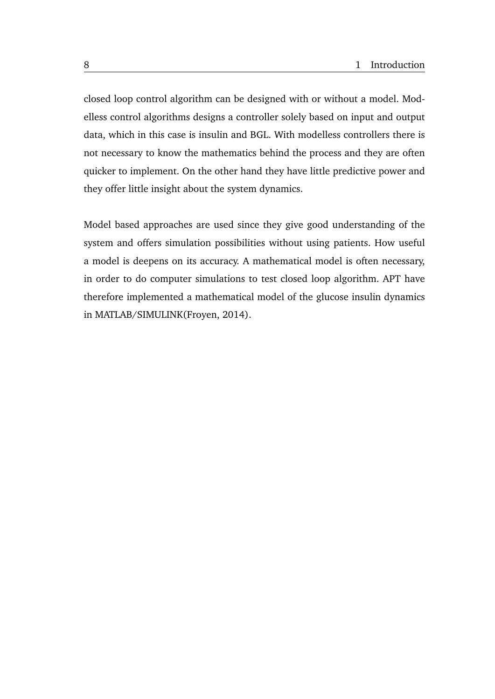closed loop control algorithm can be designed with or without a model. Modelless control algorithms designs a controller solely based on input and output data, which in this case is insulin and BGL. With modelless controllers there is not necessary to know the mathematics behind the process and they are often quicker to implement. On the other hand they have little predictive power and they offer little insight about the system dynamics.

Model based approaches are used since they give good understanding of the system and offers simulation possibilities without using patients. How useful a model is deepens on its accuracy. A mathematical model is often necessary, in order to do computer simulations to test closed loop algorithm. APT have therefore implemented a mathematical model of the glucose insulin dynamics in MATLAB/SIMULINK[\(Froyen,](#page-64-3) [2014\)](#page-64-3).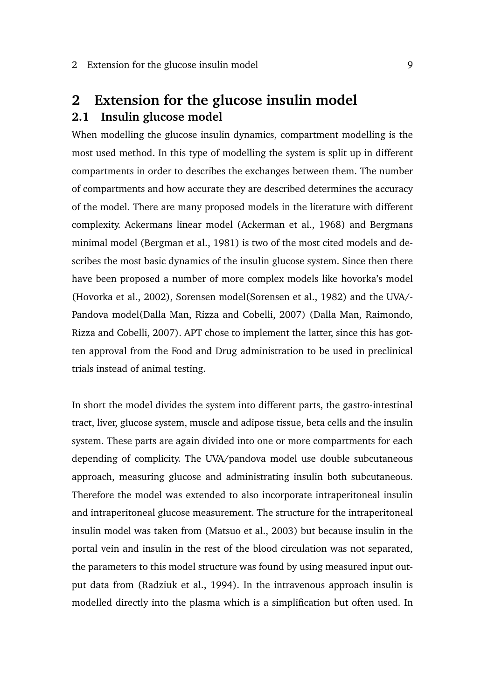# <span id="page-20-1"></span><span id="page-20-0"></span>**2 Extension for the glucose insulin model 2.1 Insulin glucose model**

When modelling the glucose insulin dynamics, compartment modelling is the most used method. In this type of modelling the system is split up in different compartments in order to describes the exchanges between them. The number of compartments and how accurate they are described determines the accuracy of the model. There are many proposed models in the literature with different complexity. Ackermans linear model [\(Ackerman et al.,](#page-64-4) [1968\)](#page-64-4) and Bergmans minimal model [\(Bergman et al.,](#page-64-5) [1981\)](#page-64-5) is two of the most cited models and describes the most basic dynamics of the insulin glucose system. Since then there have been proposed a number of more complex models like hovorka's model [\(Hovorka et al.,](#page-65-3) [2002\)](#page-65-3), Sorensen model[\(Sorensen et al.,](#page-66-3) [1982\)](#page-66-3) and the UVA/- Pandova model[\(Dalla Man, Rizza and Cobelli,](#page-64-6) [2007\)](#page-64-6) [\(Dalla Man, Raimondo,](#page-64-7) [Rizza and Cobelli,](#page-64-7) [2007\)](#page-64-7). APT chose to implement the latter, since this has gotten approval from the Food and Drug administration to be used in preclinical trials instead of animal testing.

In short the model divides the system into different parts, the gastro-intestinal tract, liver, glucose system, muscle and adipose tissue, beta cells and the insulin system. These parts are again divided into one or more compartments for each depending of complicity. The UVA/pandova model use double subcutaneous approach, measuring glucose and administrating insulin both subcutaneous. Therefore the model was extended to also incorporate intraperitoneal insulin and intraperitoneal glucose measurement. The structure for the intraperitoneal insulin model was taken from [\(Matsuo et al.,](#page-65-4) [2003\)](#page-65-4) but because insulin in the portal vein and insulin in the rest of the blood circulation was not separated, the parameters to this model structure was found by using measured input output data from [\(Radziuk et al.,](#page-66-4) [1994\)](#page-66-4). In the intravenous approach insulin is modelled directly into the plasma which is a simplification but often used. In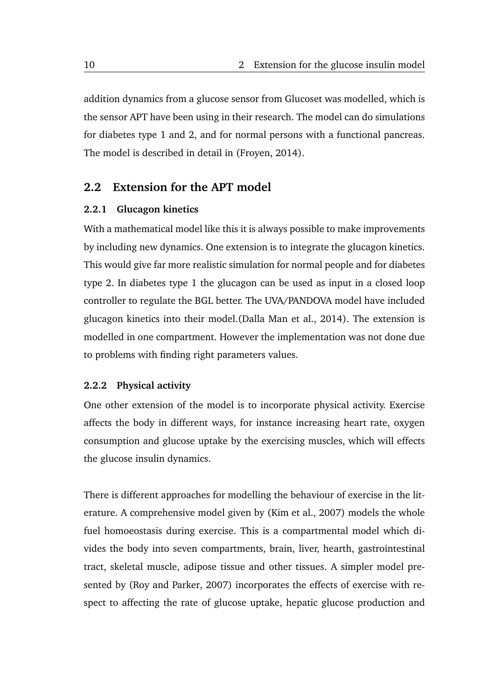addition dynamics from a glucose sensor from Glucoset was modelled, which is the sensor APT have been using in their research. The model can do simulations for diabetes type 1 and 2, and for normal persons with a functional pancreas. The model is described in detail in [\(Froyen,](#page-64-3) [2014\)](#page-64-3).

### <span id="page-21-0"></span>**2.2 Extension for the APT model**

#### <span id="page-21-1"></span>**2.2.1 Glucagon kinetics**

With a mathematical model like this it is always possible to make improvements by including new dynamics. One extension is to integrate the glucagon kinetics. This would give far more realistic simulation for normal people and for diabetes type 2. In diabetes type 1 the glucagon can be used as input in a closed loop controller to regulate the BGL better. The UVA/PANDOVA model have included glucagon kinetics into their model.[\(Dalla Man et al.,](#page-64-8) [2014\)](#page-64-8). The extension is modelled in one compartment. However the implementation was not done due to problems with finding right parameters values.

#### <span id="page-21-2"></span>**2.2.2 Physical activity**

One other extension of the model is to incorporate physical activity. Exercise affects the body in different ways, for instance increasing heart rate, oxygen consumption and glucose uptake by the exercising muscles, which will effects the glucose insulin dynamics.

There is different approaches for modelling the behaviour of exercise in the literature. A comprehensive model given by [\(Kim et al.,](#page-65-5) [2007\)](#page-65-5) models the whole fuel homoeostasis during exercise. This is a compartmental model which divides the body into seven compartments, brain, liver, hearth, gastrointestinal tract, skeletal muscle, adipose tissue and other tissues. A simpler model presented by [\(Roy and Parker,](#page-66-5) [2007\)](#page-66-5) incorporates the effects of exercise with respect to affecting the rate of glucose uptake, hepatic glucose production and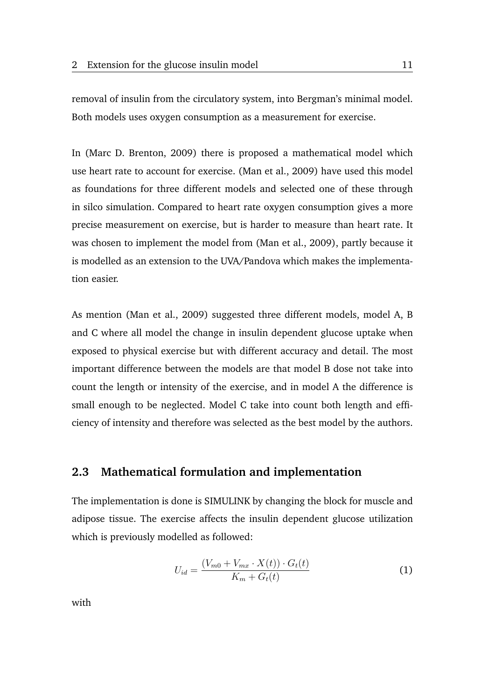removal of insulin from the circulatory system, into Bergman's minimal model. Both models uses oxygen consumption as a measurement for exercise.

In [\(Marc D. Brenton,](#page-65-6) [2009\)](#page-65-6) there is proposed a mathematical model which use heart rate to account for exercise. [\(Man et al.,](#page-65-7) [2009\)](#page-65-7) have used this model as foundations for three different models and selected one of these through in silco simulation. Compared to heart rate oxygen consumption gives a more precise measurement on exercise, but is harder to measure than heart rate. It was chosen to implement the model from [\(Man et al.,](#page-65-7) [2009\)](#page-65-7), partly because it is modelled as an extension to the UVA/Pandova which makes the implementation easier.

As mention [\(Man et al.,](#page-65-7) [2009\)](#page-65-7) suggested three different models, model A, B and C where all model the change in insulin dependent glucose uptake when exposed to physical exercise but with different accuracy and detail. The most important difference between the models are that model B dose not take into count the length or intensity of the exercise, and in model A the difference is small enough to be neglected. Model C take into count both length and efficiency of intensity and therefore was selected as the best model by the authors.

### <span id="page-22-0"></span>**2.3 Mathematical formulation and implementation**

The implementation is done is SIMULINK by changing the block for muscle and adipose tissue. The exercise affects the insulin dependent glucose utilization which is previously modelled as followed:

<span id="page-22-1"></span>
$$
U_{id} = \frac{(V_{m0} + V_{mx} \cdot X(t)) \cdot G_t(t)}{K_m + G_t(t)}
$$
(1)

with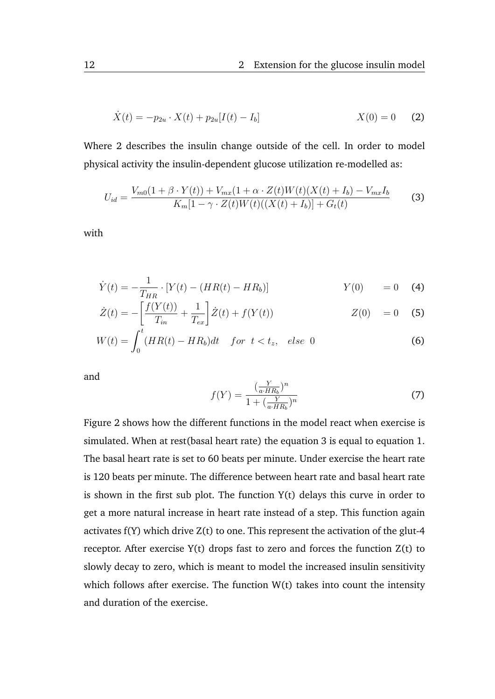<span id="page-23-0"></span>
$$
\dot{X}(t) = -p_{2u} \cdot X(t) + p_{2u}[I(t) - I_b] \qquad X(0) = 0 \qquad (2)
$$

Where [2](#page-23-0) describes the insulin change outside of the cell. In order to model physical activity the insulin-dependent glucose utilization re-modelled as:

<span id="page-23-1"></span>
$$
U_{id} = \frac{V_{m0}(1+\beta \cdot Y(t)) + V_{mx}(1+\alpha \cdot Z(t)W(t)(X(t) + I_b) - V_{mx}I_b}{K_m[1-\gamma \cdot Z(t)W(t)((X(t) + I_b)] + G_t(t)}
$$
(3)

with

$$
\dot{Y}(t) = -\frac{1}{T_{HR}} \cdot [Y(t) - (HR(t) - HR_b)] \qquad Y(0) = 0 \quad (4)
$$

$$
\dot{Z}(t) = -\left[\frac{f(Y(t))}{T_{in}} + \frac{1}{T_{ex}}\right] \dot{Z}(t) + f(Y(t)) \qquad Z(0) = 0 \quad (5)
$$

$$
W(t) = \int_0^t (HR(t) - HR_b)dt \quad \text{for } t < t_z, \quad \text{else } 0 \tag{6}
$$

and

$$
f(Y) = \frac{\left(\frac{Y}{a \cdot HR_b}\right)^n}{1 + \left(\frac{Y}{a \cdot HR_b}\right)^n} \tag{7}
$$

Figure [2](#page-24-1) shows how the different functions in the model react when exercise is simulated. When at rest(basal heart rate) the equation [3](#page-23-1) is equal to equation [1.](#page-22-1) The basal heart rate is set to 60 beats per minute. Under exercise the heart rate is 120 beats per minute. The difference between heart rate and basal heart rate is shown in the first sub plot. The function  $Y(t)$  delays this curve in order to get a more natural increase in heart rate instead of a step. This function again activates f(Y) which drive Z(t) to one. This represent the activation of the glut-4 receptor. After exercise  $Y(t)$  drops fast to zero and forces the function  $Z(t)$  to slowly decay to zero, which is meant to model the increased insulin sensitivity which follows after exercise. The function  $W(t)$  takes into count the intensity and duration of the exercise.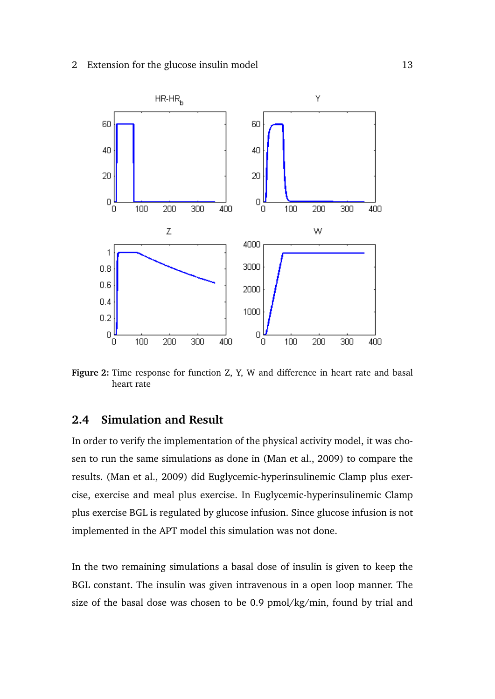<span id="page-24-1"></span>

**Figure 2:** Time response for function Z, Y, W and difference in heart rate and basal heart rate

### <span id="page-24-0"></span>**2.4 Simulation and Result**

In order to verify the implementation of the physical activity model, it was chosen to run the same simulations as done in [\(Man et al.,](#page-65-7) [2009\)](#page-65-7) to compare the results. [\(Man et al.,](#page-65-7) [2009\)](#page-65-7) did Euglycemic-hyperinsulinemic Clamp plus exercise, exercise and meal plus exercise. In Euglycemic-hyperinsulinemic Clamp plus exercise BGL is regulated by glucose infusion. Since glucose infusion is not implemented in the APT model this simulation was not done.

In the two remaining simulations a basal dose of insulin is given to keep the BGL constant. The insulin was given intravenous in a open loop manner. The size of the basal dose was chosen to be 0.9 pmol/kg/min, found by trial and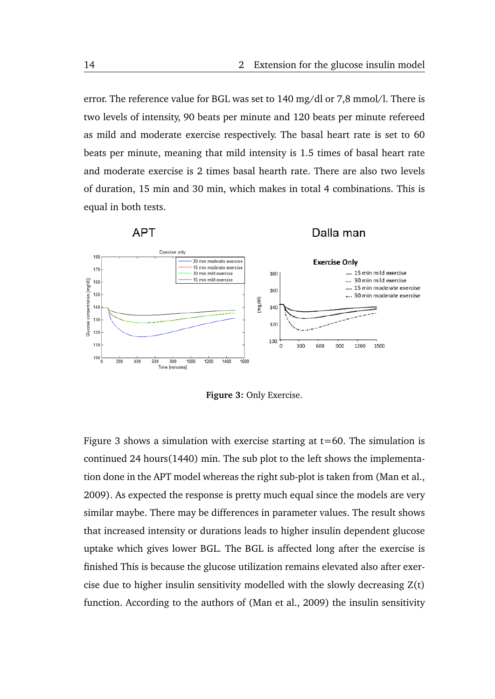error. The reference value for BGL was set to 140 mg/dl or 7,8 mmol/l. There is two levels of intensity, 90 beats per minute and 120 beats per minute refereed as mild and moderate exercise respectively. The basal heart rate is set to 60 beats per minute, meaning that mild intensity is 1.5 times of basal heart rate and moderate exercise is 2 times basal hearth rate. There are also two levels of duration, 15 min and 30 min, which makes in total 4 combinations. This is equal in both tests.

<span id="page-25-0"></span>

**Figure 3:** Only Exercise.

Figure [3](#page-25-0) shows a simulation with exercise starting at  $t=60$ . The simulation is continued 24 hours(1440) min. The sub plot to the left shows the implementation done in the APT model whereas the right sub-plot is taken from [\(Man et al.,](#page-65-7) [2009\)](#page-65-7). As expected the response is pretty much equal since the models are very similar maybe. There may be differences in parameter values. The result shows that increased intensity or durations leads to higher insulin dependent glucose uptake which gives lower BGL. The BGL is affected long after the exercise is finished This is because the glucose utilization remains elevated also after exercise due to higher insulin sensitivity modelled with the slowly decreasing Z(t) function. According to the authors of [\(Man et al.,](#page-65-7) [2009\)](#page-65-7) the insulin sensitivity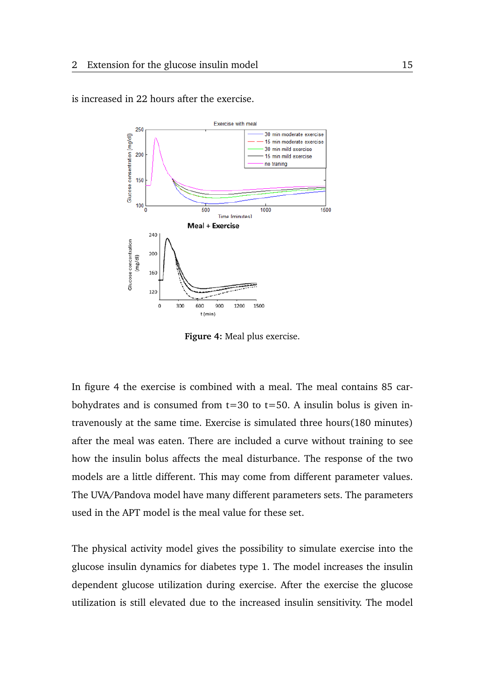

<span id="page-26-0"></span>is increased in 22 hours after the exercise.

**Figure 4:** Meal plus exercise.

In figure [4](#page-26-0) the exercise is combined with a meal. The meal contains 85 carbohydrates and is consumed from  $t=30$  to  $t=50$ . A insulin bolus is given intravenously at the same time. Exercise is simulated three hours(180 minutes) after the meal was eaten. There are included a curve without training to see how the insulin bolus affects the meal disturbance. The response of the two models are a little different. This may come from different parameter values. The UVA/Pandova model have many different parameters sets. The parameters used in the APT model is the meal value for these set.

The physical activity model gives the possibility to simulate exercise into the glucose insulin dynamics for diabetes type 1. The model increases the insulin dependent glucose utilization during exercise. After the exercise the glucose utilization is still elevated due to the increased insulin sensitivity. The model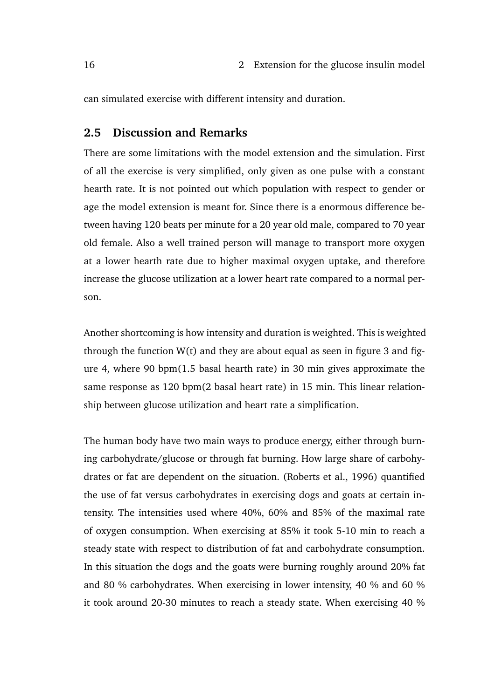can simulated exercise with different intensity and duration.

### <span id="page-27-0"></span>**2.5 Discussion and Remarks**

There are some limitations with the model extension and the simulation. First of all the exercise is very simplified, only given as one pulse with a constant hearth rate. It is not pointed out which population with respect to gender or age the model extension is meant for. Since there is a enormous difference between having 120 beats per minute for a 20 year old male, compared to 70 year old female. Also a well trained person will manage to transport more oxygen at a lower hearth rate due to higher maximal oxygen uptake, and therefore increase the glucose utilization at a lower heart rate compared to a normal person.

Another shortcoming is how intensity and duration is weighted. This is weighted through the function  $W(t)$  and they are about equal as seen in figure [3](#page-25-0) and figure [4,](#page-26-0) where 90 bpm(1.5 basal hearth rate) in 30 min gives approximate the same response as 120 bpm(2 basal heart rate) in 15 min. This linear relationship between glucose utilization and heart rate a simplification.

The human body have two main ways to produce energy, either through burning carbohydrate/glucose or through fat burning. How large share of carbohydrates or fat are dependent on the situation. [\(Roberts et al.,](#page-66-6) [1996\)](#page-66-6) quantified the use of fat versus carbohydrates in exercising dogs and goats at certain intensity. The intensities used where 40%, 60% and 85% of the maximal rate of oxygen consumption. When exercising at 85% it took 5-10 min to reach a steady state with respect to distribution of fat and carbohydrate consumption. In this situation the dogs and the goats were burning roughly around 20% fat and 80 % carbohydrates. When exercising in lower intensity, 40 % and 60 % it took around 20-30 minutes to reach a steady state. When exercising 40 %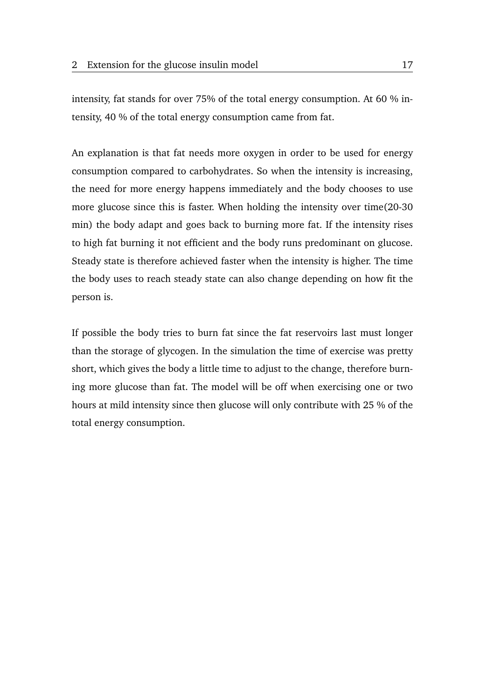intensity, fat stands for over 75% of the total energy consumption. At 60 % intensity, 40 % of the total energy consumption came from fat.

An explanation is that fat needs more oxygen in order to be used for energy consumption compared to carbohydrates. So when the intensity is increasing, the need for more energy happens immediately and the body chooses to use more glucose since this is faster. When holding the intensity over time(20-30 min) the body adapt and goes back to burning more fat. If the intensity rises to high fat burning it not efficient and the body runs predominant on glucose. Steady state is therefore achieved faster when the intensity is higher. The time the body uses to reach steady state can also change depending on how fit the person is.

If possible the body tries to burn fat since the fat reservoirs last must longer than the storage of glycogen. In the simulation the time of exercise was pretty short, which gives the body a little time to adjust to the change, therefore burning more glucose than fat. The model will be off when exercising one or two hours at mild intensity since then glucose will only contribute with 25 % of the total energy consumption.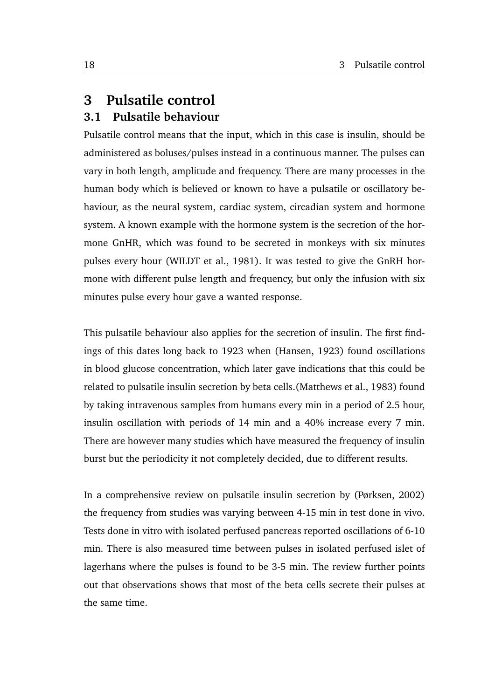### <span id="page-29-0"></span>**3 Pulsatile control**

### <span id="page-29-1"></span>**3.1 Pulsatile behaviour**

Pulsatile control means that the input, which in this case is insulin, should be administered as boluses/pulses instead in a continuous manner. The pulses can vary in both length, amplitude and frequency. There are many processes in the human body which is believed or known to have a pulsatile or oscillatory behaviour, as the neural system, cardiac system, circadian system and hormone system. A known example with the hormone system is the secretion of the hormone GnHR, which was found to be secreted in monkeys with six minutes pulses every hour [\(WILDT et al.,](#page-67-0) [1981\)](#page-67-0). It was tested to give the GnRH hormone with different pulse length and frequency, but only the infusion with six minutes pulse every hour gave a wanted response.

This pulsatile behaviour also applies for the secretion of insulin. The first findings of this dates long back to 1923 when [\(Hansen,](#page-65-8) [1923\)](#page-65-8) found oscillations in blood glucose concentration, which later gave indications that this could be related to pulsatile insulin secretion by beta cells.[\(Matthews et al.,](#page-66-7) [1983\)](#page-66-7) found by taking intravenous samples from humans every min in a period of 2.5 hour, insulin oscillation with periods of 14 min and a 40% increase every 7 min. There are however many studies which have measured the frequency of insulin burst but the periodicity it not completely decided, due to different results.

In a comprehensive review on pulsatile insulin secretion by [\(Pørksen,](#page-66-8) [2002\)](#page-66-8) the frequency from studies was varying between 4-15 min in test done in vivo. Tests done in vitro with isolated perfused pancreas reported oscillations of 6-10 min. There is also measured time between pulses in isolated perfused islet of lagerhans where the pulses is found to be 3-5 min. The review further points out that observations shows that most of the beta cells secrete their pulses at the same time.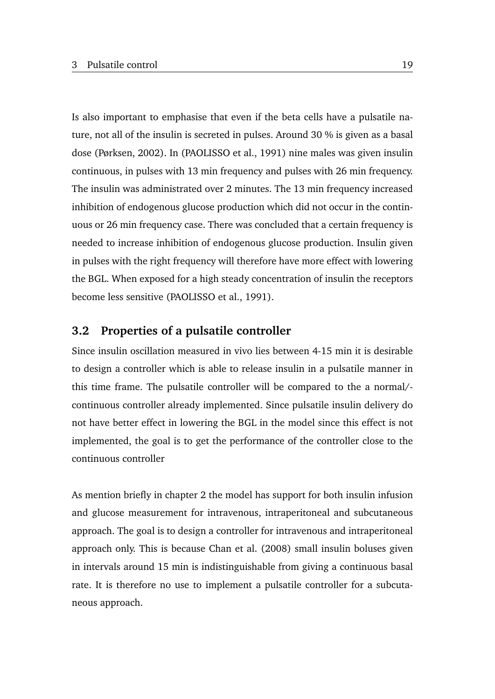Is also important to emphasise that even if the beta cells have a pulsatile nature, not all of the insulin is secreted in pulses. Around 30 % is given as a basal dose [\(Pørksen,](#page-66-8) [2002\)](#page-66-8). In [\(PAOLISSO et al.,](#page-66-9) [1991\)](#page-66-9) nine males was given insulin continuous, in pulses with 13 min frequency and pulses with 26 min frequency. The insulin was administrated over 2 minutes. The 13 min frequency increased inhibition of endogenous glucose production which did not occur in the continuous or 26 min frequency case. There was concluded that a certain frequency is needed to increase inhibition of endogenous glucose production. Insulin given in pulses with the right frequency will therefore have more effect with lowering the BGL. When exposed for a high steady concentration of insulin the receptors become less sensitive [\(PAOLISSO et al.,](#page-66-9) [1991\)](#page-66-9).

### <span id="page-30-0"></span>**3.2 Properties of a pulsatile controller**

Since insulin oscillation measured in vivo lies between 4-15 min it is desirable to design a controller which is able to release insulin in a pulsatile manner in this time frame. The pulsatile controller will be compared to the a normal/ continuous controller already implemented. Since pulsatile insulin delivery do not have better effect in lowering the BGL in the model since this effect is not implemented, the goal is to get the performance of the controller close to the continuous controller

As mention briefly in chapter 2 the model has support for both insulin infusion and glucose measurement for intravenous, intraperitoneal and subcutaneous approach. The goal is to design a controller for intravenous and intraperitoneal approach only. This is because [Chan et al.](#page-64-9) [\(2008\)](#page-64-9) small insulin boluses given in intervals around 15 min is indistinguishable from giving a continuous basal rate. It is therefore no use to implement a pulsatile controller for a subcutaneous approach.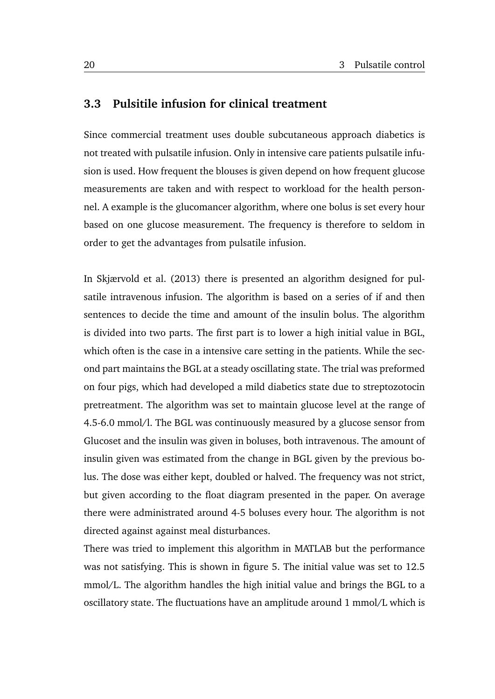### <span id="page-31-0"></span>**3.3 Pulsitile infusion for clinical treatment**

Since commercial treatment uses double subcutaneous approach diabetics is not treated with pulsatile infusion. Only in intensive care patients pulsatile infusion is used. How frequent the blouses is given depend on how frequent glucose measurements are taken and with respect to workload for the health personnel. A example is the glucomancer algorithm, where one bolus is set every hour based on one glucose measurement. The frequency is therefore to seldom in order to get the advantages from pulsatile infusion.

In [Skjærvold et al.](#page-66-10) [\(2013\)](#page-66-10) there is presented an algorithm designed for pulsatile intravenous infusion. The algorithm is based on a series of if and then sentences to decide the time and amount of the insulin bolus. The algorithm is divided into two parts. The first part is to lower a high initial value in BGL, which often is the case in a intensive care setting in the patients. While the second part maintains the BGL at a steady oscillating state. The trial was preformed on four pigs, which had developed a mild diabetics state due to streptozotocin pretreatment. The algorithm was set to maintain glucose level at the range of 4.5-6.0 mmol/l. The BGL was continuously measured by a glucose sensor from Glucoset and the insulin was given in boluses, both intravenous. The amount of insulin given was estimated from the change in BGL given by the previous bolus. The dose was either kept, doubled or halved. The frequency was not strict, but given according to the float diagram presented in the paper. On average there were administrated around 4-5 boluses every hour. The algorithm is not directed against against meal disturbances.

There was tried to implement this algorithm in MATLAB but the performance was not satisfying. This is shown in figure [5.](#page-32-0) The initial value was set to 12.5 mmol/L. The algorithm handles the high initial value and brings the BGL to a oscillatory state. The fluctuations have an amplitude around 1 mmol/L which is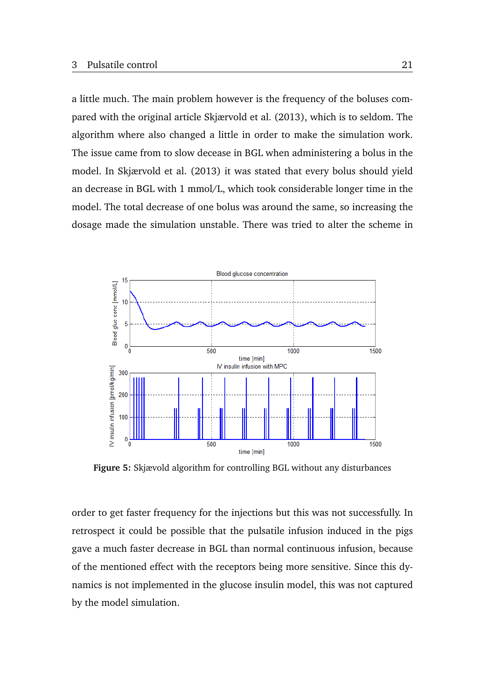a little much. The main problem however is the frequency of the boluses compared with the original article [Skjærvold et al.](#page-66-10) [\(2013\)](#page-66-10), which is to seldom. The algorithm where also changed a little in order to make the simulation work. The issue came from to slow decease in BGL when administering a bolus in the model. In [Skjærvold et al.](#page-66-10) [\(2013\)](#page-66-10) it was stated that every bolus should yield an decrease in BGL with 1 mmol/L, which took considerable longer time in the model. The total decrease of one bolus was around the same, so increasing the dosage made the simulation unstable. There was tried to alter the scheme in

<span id="page-32-0"></span>

**Figure 5:** Skjævold algorithm for controlling BGL without any disturbances

order to get faster frequency for the injections but this was not successfully. In retrospect it could be possible that the pulsatile infusion induced in the pigs gave a much faster decrease in BGL than normal continuous infusion, because of the mentioned effect with the receptors being more sensitive. Since this dynamics is not implemented in the glucose insulin model, this was not captured by the model simulation.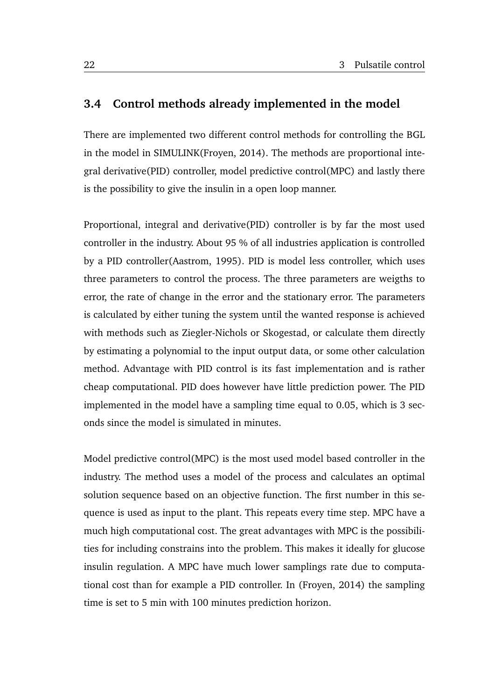### <span id="page-33-0"></span>**3.4 Control methods already implemented in the model**

There are implemented two different control methods for controlling the BGL in the model in SIMULINK[\(Froyen,](#page-64-3) [2014\)](#page-64-3). The methods are proportional integral derivative(PID) controller, model predictive control(MPC) and lastly there is the possibility to give the insulin in a open loop manner.

Proportional, integral and derivative(PID) controller is by far the most used controller in the industry. About 95 % of all industries application is controlled by a PID controller[\(Aastrom,](#page-64-10) [1995\)](#page-64-10). PID is model less controller, which uses three parameters to control the process. The three parameters are weigths to error, the rate of change in the error and the stationary error. The parameters is calculated by either tuning the system until the wanted response is achieved with methods such as Ziegler-Nichols or Skogestad, or calculate them directly by estimating a polynomial to the input output data, or some other calculation method. Advantage with PID control is its fast implementation and is rather cheap computational. PID does however have little prediction power. The PID implemented in the model have a sampling time equal to 0.05, which is 3 seconds since the model is simulated in minutes.

Model predictive control(MPC) is the most used model based controller in the industry. The method uses a model of the process and calculates an optimal solution sequence based on an objective function. The first number in this sequence is used as input to the plant. This repeats every time step. MPC have a much high computational cost. The great advantages with MPC is the possibilities for including constrains into the problem. This makes it ideally for glucose insulin regulation. A MPC have much lower samplings rate due to computational cost than for example a PID controller. In [\(Froyen,](#page-64-3) [2014\)](#page-64-3) the sampling time is set to 5 min with 100 minutes prediction horizon.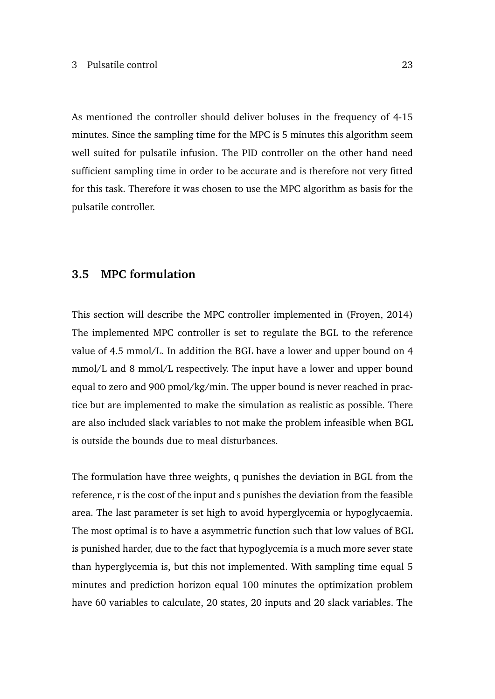As mentioned the controller should deliver boluses in the frequency of 4-15 minutes. Since the sampling time for the MPC is 5 minutes this algorithm seem well suited for pulsatile infusion. The PID controller on the other hand need sufficient sampling time in order to be accurate and is therefore not very fitted for this task. Therefore it was chosen to use the MPC algorithm as basis for the pulsatile controller.

### <span id="page-34-0"></span>**3.5 MPC formulation**

This section will describe the MPC controller implemented in [\(Froyen,](#page-64-3) [2014\)](#page-64-3) The implemented MPC controller is set to regulate the BGL to the reference value of 4.5 mmol/L. In addition the BGL have a lower and upper bound on 4 mmol/L and 8 mmol/L respectively. The input have a lower and upper bound equal to zero and 900 pmol/kg/min. The upper bound is never reached in practice but are implemented to make the simulation as realistic as possible. There are also included slack variables to not make the problem infeasible when BGL is outside the bounds due to meal disturbances.

The formulation have three weights, q punishes the deviation in BGL from the reference, r is the cost of the input and s punishes the deviation from the feasible area. The last parameter is set high to avoid hyperglycemia or hypoglycaemia. The most optimal is to have a asymmetric function such that low values of BGL is punished harder, due to the fact that hypoglycemia is a much more sever state than hyperglycemia is, but this not implemented. With sampling time equal 5 minutes and prediction horizon equal 100 minutes the optimization problem have 60 variables to calculate, 20 states, 20 inputs and 20 slack variables. The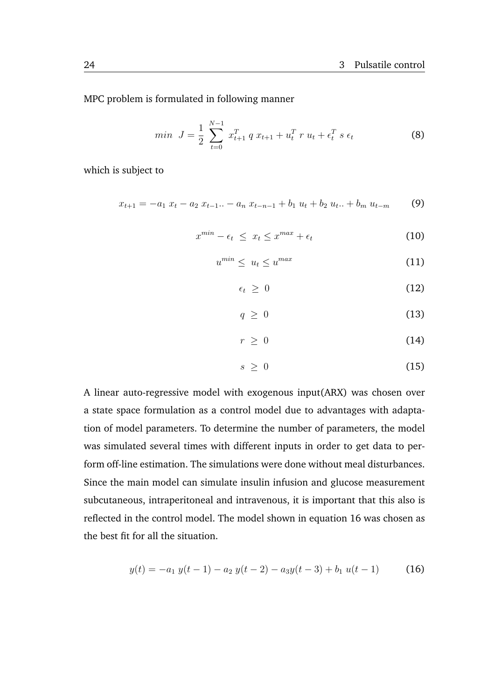MPC problem is formulated in following manner

$$
min \quad J = \frac{1}{2} \sum_{t=0}^{N-1} x_{t+1}^T q x_{t+1} + u_t^T r u_t + \epsilon_t^T s \epsilon_t \tag{8}
$$

which is subject to

$$
x_{t+1} = -a_1 \ x_t - a_2 \ x_{t-1} \dots - a_n \ x_{t-n-1} + b_1 \ u_t + b_2 \ u_t \dots + b_m \ u_{t-m} \tag{9}
$$

$$
x^{min} - \epsilon_t \le x_t \le x^{max} + \epsilon_t \tag{10}
$$

$$
u^{min} \leq u_t \leq u^{max} \tag{11}
$$

$$
\epsilon_t \geq 0 \tag{12}
$$

$$
q \geq 0 \tag{13}
$$

$$
r \geq 0 \tag{14}
$$

$$
s \geq 0 \tag{15}
$$

A linear auto-regressive model with exogenous input(ARX) was chosen over a state space formulation as a control model due to advantages with adaptation of model parameters. To determine the number of parameters, the model was simulated several times with different inputs in order to get data to perform off-line estimation. The simulations were done without meal disturbances. Since the main model can simulate insulin infusion and glucose measurement subcutaneous, intraperitoneal and intravenous, it is important that this also is reflected in the control model. The model shown in equation [16](#page-35-0) was chosen as the best fit for all the situation.

<span id="page-35-0"></span>
$$
y(t) = -a_1 y(t-1) - a_2 y(t-2) - a_3 y(t-3) + b_1 u(t-1)
$$
 (16)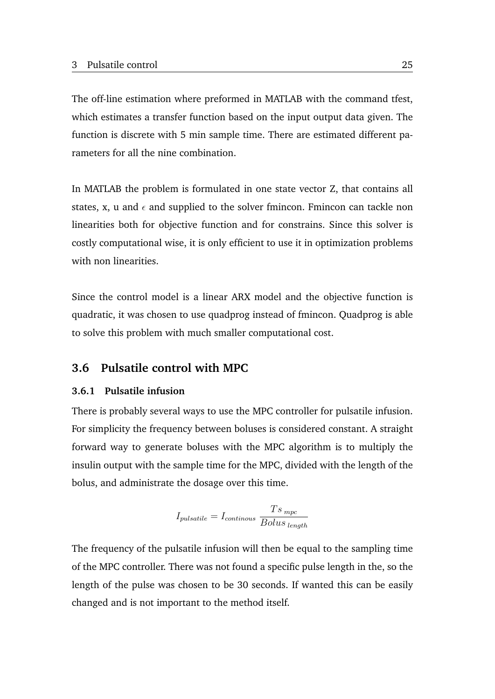The off-line estimation where preformed in MATLAB with the command tfest, which estimates a transfer function based on the input output data given. The function is discrete with 5 min sample time. There are estimated different parameters for all the nine combination.

In MATLAB the problem is formulated in one state vector Z, that contains all states, x, u and  $\epsilon$  and supplied to the solver fmincon. Fmincon can tackle non linearities both for objective function and for constrains. Since this solver is costly computational wise, it is only efficient to use it in optimization problems with non linearities.

Since the control model is a linear ARX model and the objective function is quadratic, it was chosen to use quadprog instead of fmincon. Quadprog is able to solve this problem with much smaller computational cost.

### <span id="page-36-0"></span>**3.6 Pulsatile control with MPC**

### <span id="page-36-1"></span>**3.6.1 Pulsatile infusion**

There is probably several ways to use the MPC controller for pulsatile infusion. For simplicity the frequency between boluses is considered constant. A straight forward way to generate boluses with the MPC algorithm is to multiply the insulin output with the sample time for the MPC, divided with the length of the bolus, and administrate the dosage over this time.

$$
I_{pulsatile} = I_{continuous} \frac{Ts_{\,mpc}}{Bolus_{\,length}}
$$

The frequency of the pulsatile infusion will then be equal to the sampling time of the MPC controller. There was not found a specific pulse length in the, so the length of the pulse was chosen to be 30 seconds. If wanted this can be easily changed and is not important to the method itself.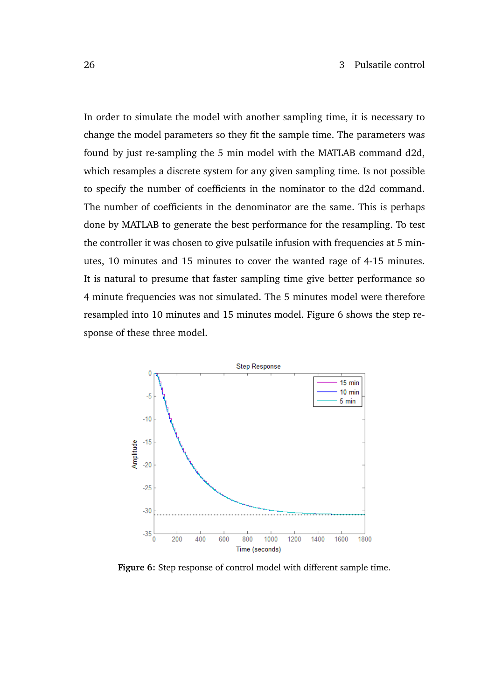In order to simulate the model with another sampling time, it is necessary to change the model parameters so they fit the sample time. The parameters was found by just re-sampling the 5 min model with the MATLAB command d2d, which resamples a discrete system for any given sampling time. Is not possible to specify the number of coefficients in the nominator to the d2d command. The number of coefficients in the denominator are the same. This is perhaps done by MATLAB to generate the best performance for the resampling. To test the controller it was chosen to give pulsatile infusion with frequencies at 5 minutes, 10 minutes and 15 minutes to cover the wanted rage of 4-15 minutes. It is natural to presume that faster sampling time give better performance so 4 minute frequencies was not simulated. The 5 minutes model were therefore resampled into 10 minutes and 15 minutes model. Figure [6](#page-37-0) shows the step response of these three model.

<span id="page-37-0"></span>

**Figure 6:** Step response of control model with different sample time.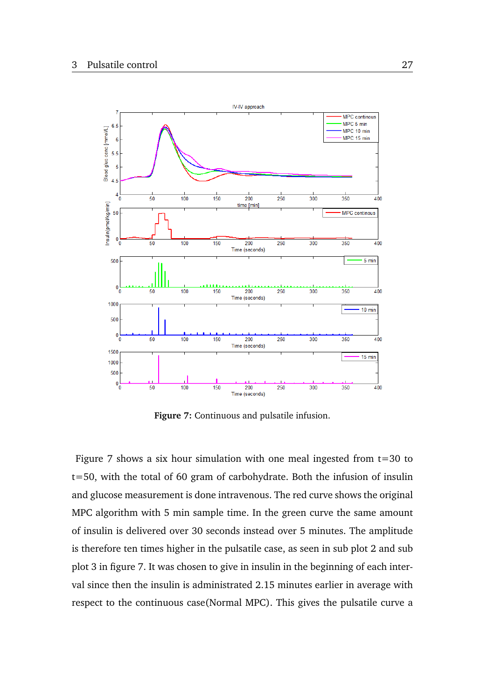<span id="page-38-0"></span>

**Figure 7:** Continuous and pulsatile infusion.

Figure [7](#page-38-0) shows a six hour simulation with one meal ingested from  $t=30$  to t=50, with the total of 60 gram of carbohydrate. Both the infusion of insulin and glucose measurement is done intravenous. The red curve shows the original MPC algorithm with 5 min sample time. In the green curve the same amount of insulin is delivered over 30 seconds instead over 5 minutes. The amplitude is therefore ten times higher in the pulsatile case, as seen in sub plot 2 and sub plot 3 in figure [7.](#page-38-0) It was chosen to give in insulin in the beginning of each interval since then the insulin is administrated 2.15 minutes earlier in average with respect to the continuous case(Normal MPC). This gives the pulsatile curve a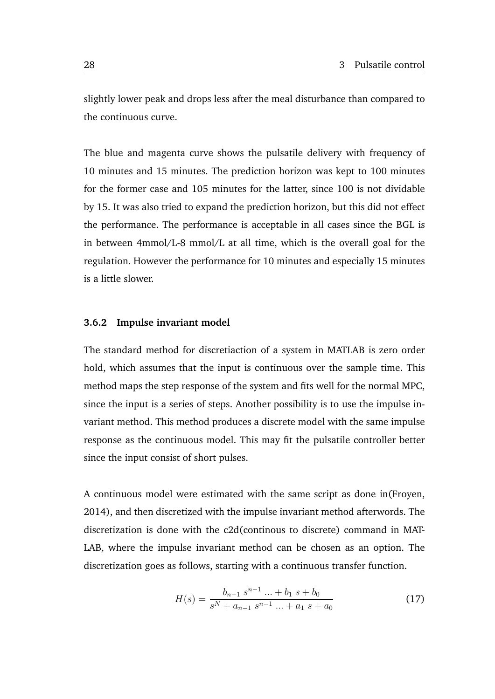slightly lower peak and drops less after the meal disturbance than compared to the continuous curve.

The blue and magenta curve shows the pulsatile delivery with frequency of 10 minutes and 15 minutes. The prediction horizon was kept to 100 minutes for the former case and 105 minutes for the latter, since 100 is not dividable by 15. It was also tried to expand the prediction horizon, but this did not effect the performance. The performance is acceptable in all cases since the BGL is in between 4mmol/L-8 mmol/L at all time, which is the overall goal for the regulation. However the performance for 10 minutes and especially 15 minutes is a little slower.

### <span id="page-39-0"></span>**3.6.2 Impulse invariant model**

The standard method for discretiaction of a system in MATLAB is zero order hold, which assumes that the input is continuous over the sample time. This method maps the step response of the system and fits well for the normal MPC, since the input is a series of steps. Another possibility is to use the impulse invariant method. This method produces a discrete model with the same impulse response as the continuous model. This may fit the pulsatile controller better since the input consist of short pulses.

A continuous model were estimated with the same script as done in[\(Froyen,](#page-64-3) [2014\)](#page-64-3), and then discretized with the impulse invariant method afterwords. The discretization is done with the c2d(continous to discrete) command in MAT-LAB, where the impulse invariant method can be chosen as an option. The discretization goes as follows, starting with a continuous transfer function.

$$
H(s) = \frac{b_{n-1} s^{n-1} \dots + b_1 s + b_0}{s^N + a_{n-1} s^{n-1} \dots + a_1 s + a_0}
$$
(17)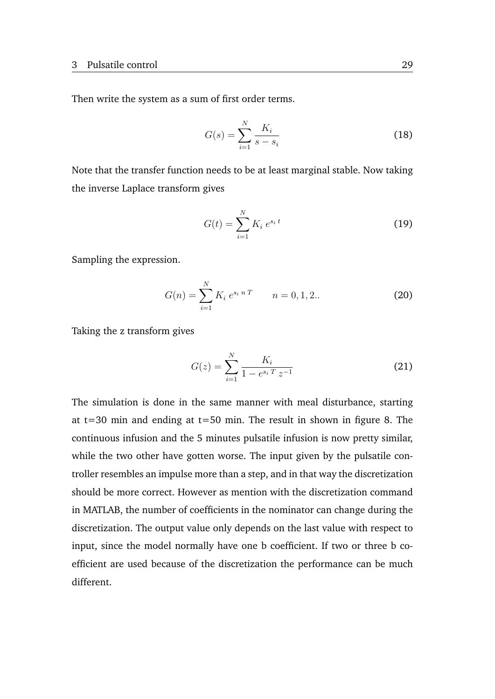Then write the system as a sum of first order terms.

$$
G(s) = \sum_{i=1}^{N} \frac{K_i}{s - s_i}
$$
 (18)

Note that the transfer function needs to be at least marginal stable. Now taking the inverse Laplace transform gives

$$
G(t) = \sum_{i=1}^{N} K_i e^{s_i t}
$$
 (19)

Sampling the expression.

$$
G(n) = \sum_{i=1}^{N} K_i e^{s_i n T} \qquad n = 0, 1, 2.. \qquad (20)
$$

Taking the z transform gives

$$
G(z) = \sum_{i=1}^{N} \frac{K_i}{1 - e^{s_i T} z^{-1}}
$$
 (21)

The simulation is done in the same manner with meal disturbance, starting at  $t=30$  min and ending at  $t=50$  min. The result in shown in figure [8.](#page-41-1) The continuous infusion and the 5 minutes pulsatile infusion is now pretty similar, while the two other have gotten worse. The input given by the pulsatile controller resembles an impulse more than a step, and in that way the discretization should be more correct. However as mention with the discretization command in MATLAB, the number of coefficients in the nominator can change during the discretization. The output value only depends on the last value with respect to input, since the model normally have one b coefficient. If two or three b coefficient are used because of the discretization the performance can be much different.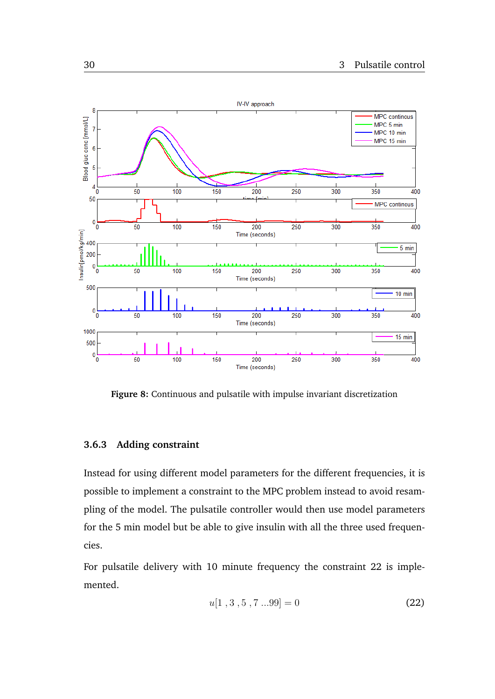<span id="page-41-1"></span>

**Figure 8:** Continuous and pulsatile with impulse invariant discretization

### <span id="page-41-0"></span>**3.6.3 Adding constraint**

Instead for using different model parameters for the different frequencies, it is possible to implement a constraint to the MPC problem instead to avoid resampling of the model. The pulsatile controller would then use model parameters for the 5 min model but be able to give insulin with all the three used frequencies.

For pulsatile delivery with 10 minute frequency the constraint [22](#page-41-2) is implemented.

<span id="page-41-2"></span>
$$
u[1, 3, 5, 7...99] = 0 \tag{22}
$$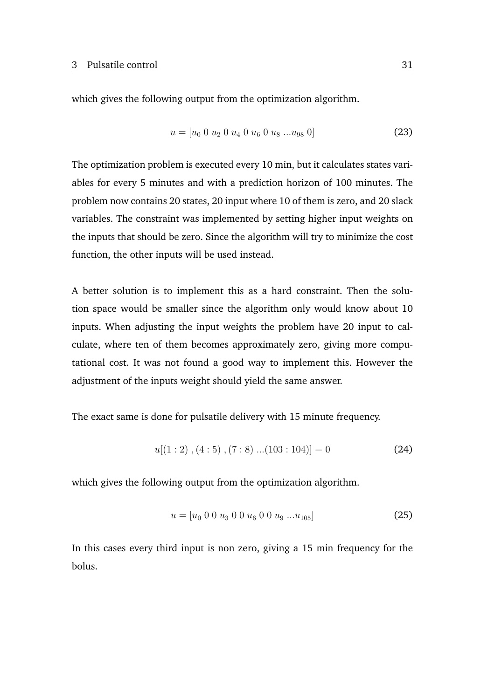which gives the following output from the optimization algorithm.

$$
u = [u_0 \ 0 \ u_2 \ 0 \ u_4 \ 0 \ u_6 \ 0 \ u_8 \ ... u_{98} \ 0]
$$
 (23)

The optimization problem is executed every 10 min, but it calculates states variables for every 5 minutes and with a prediction horizon of 100 minutes. The problem now contains 20 states, 20 input where 10 of them is zero, and 20 slack variables. The constraint was implemented by setting higher input weights on the inputs that should be zero. Since the algorithm will try to minimize the cost function, the other inputs will be used instead.

A better solution is to implement this as a hard constraint. Then the solution space would be smaller since the algorithm only would know about 10 inputs. When adjusting the input weights the problem have 20 input to calculate, where ten of them becomes approximately zero, giving more computational cost. It was not found a good way to implement this. However the adjustment of the inputs weight should yield the same answer.

The exact same is done for pulsatile delivery with 15 minute frequency.

$$
u[(1:2), (4:5), (7:8) \dots (103:104)] = 0 \tag{24}
$$

which gives the following output from the optimization algorithm.

$$
u = [u_0 \ 0 \ 0 \ u_3 \ 0 \ 0 \ u_6 \ 0 \ 0 \ u_9 \ ... u_{105}] \tag{25}
$$

In this cases every third input is non zero, giving a 15 min frequency for the bolus.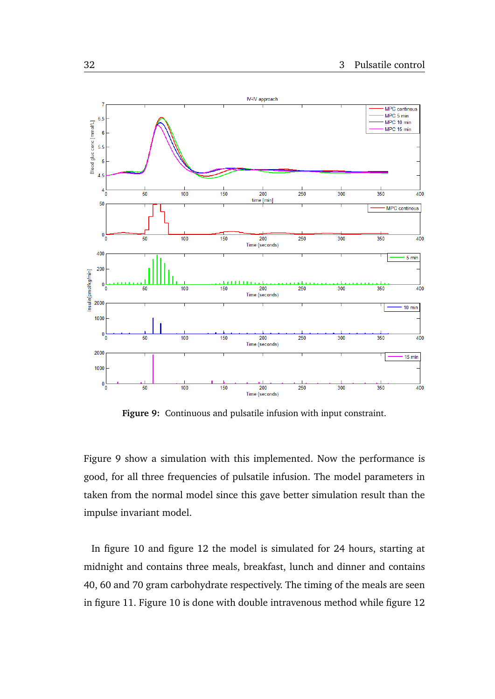<span id="page-43-0"></span>

**Figure 9:** Continuous and pulsatile infusion with input constraint.

Figure [9](#page-43-0) show a simulation with this implemented. Now the performance is good, for all three frequencies of pulsatile infusion. The model parameters in taken from the normal model since this gave better simulation result than the impulse invariant model.

In figure [10](#page-44-0) and figure [12](#page-45-0) the model is simulated for 24 hours, starting at midnight and contains three meals, breakfast, lunch and dinner and contains 40, 60 and 70 gram carbohydrate respectively. The timing of the meals are seen in figure [11.](#page-44-1) Figure [10](#page-44-0) is done with double intravenous method while figure [12](#page-45-0)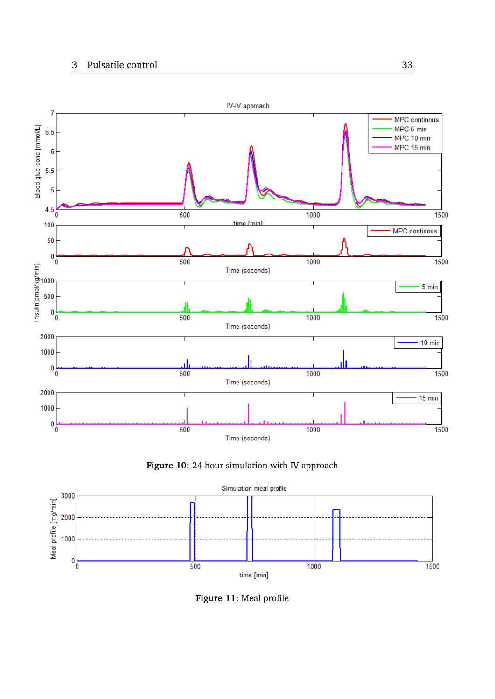### <span id="page-44-0"></span>3 Pulsatile control 33





<span id="page-44-1"></span>

**Figure 11:** Meal profile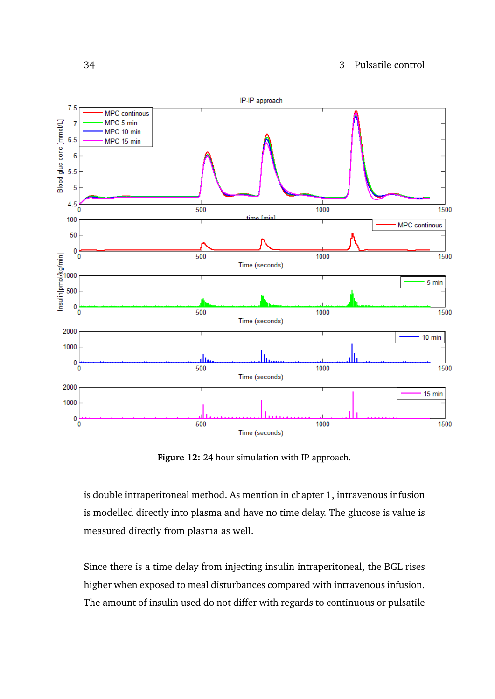<span id="page-45-0"></span>

**Figure 12:** 24 hour simulation with IP approach.

is double intraperitoneal method. As mention in chapter 1, intravenous infusion is modelled directly into plasma and have no time delay. The glucose is value is measured directly from plasma as well.

Since there is a time delay from injecting insulin intraperitoneal, the BGL rises higher when exposed to meal disturbances compared with intravenous infusion. The amount of insulin used do not differ with regards to continuous or pulsatile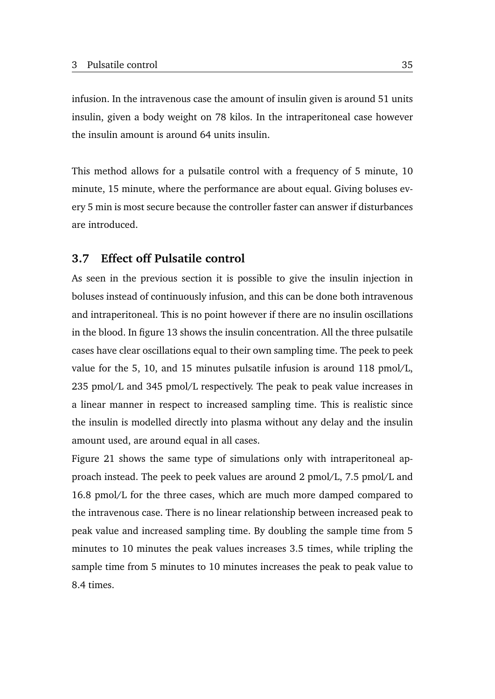infusion. In the intravenous case the amount of insulin given is around 51 units insulin, given a body weight on 78 kilos. In the intraperitoneal case however the insulin amount is around 64 units insulin.

This method allows for a pulsatile control with a frequency of 5 minute, 10 minute, 15 minute, where the performance are about equal. Giving boluses every 5 min is most secure because the controller faster can answer if disturbances are introduced.

### <span id="page-46-0"></span>**3.7 Effect off Pulsatile control**

As seen in the previous section it is possible to give the insulin injection in boluses instead of continuously infusion, and this can be done both intravenous and intraperitoneal. This is no point however if there are no insulin oscillations in the blood. In figure [13](#page-47-0) shows the insulin concentration. All the three pulsatile cases have clear oscillations equal to their own sampling time. The peek to peek value for the 5, 10, and 15 minutes pulsatile infusion is around 118 pmol/L, 235 pmol/L and 345 pmol/L respectively. The peak to peak value increases in a linear manner in respect to increased sampling time. This is realistic since the insulin is modelled directly into plasma without any delay and the insulin amount used, are around equal in all cases.

Figure [21](#page-61-0) shows the same type of simulations only with intraperitoneal approach instead. The peek to peek values are around 2 pmol/L, 7.5 pmol/L and 16.8 pmol/L for the three cases, which are much more damped compared to the intravenous case. There is no linear relationship between increased peak to peak value and increased sampling time. By doubling the sample time from 5 minutes to 10 minutes the peak values increases 3.5 times, while tripling the sample time from 5 minutes to 10 minutes increases the peak to peak value to 8.4 times.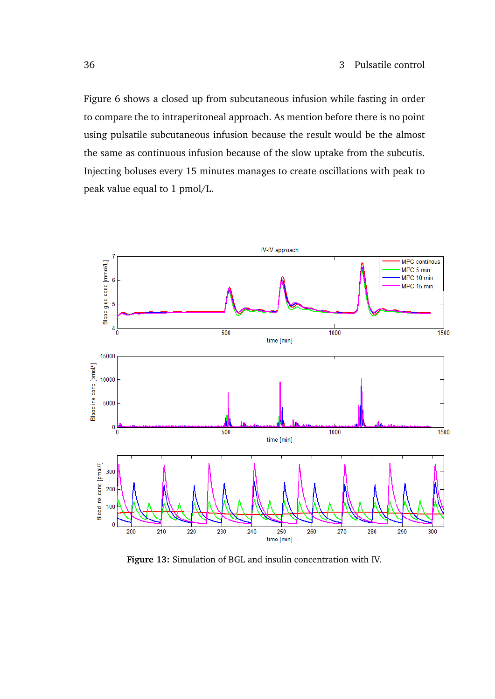Figure [6](#page-37-0) shows a closed up from subcutaneous infusion while fasting in order to compare the to intraperitoneal approach. As mention before there is no point using pulsatile subcutaneous infusion because the result would be the almost the same as continuous infusion because of the slow uptake from the subcutis. Injecting boluses every 15 minutes manages to create oscillations with peak to peak value equal to 1 pmol/L.

<span id="page-47-0"></span>

**Figure 13:** Simulation of BGL and insulin concentration with IV.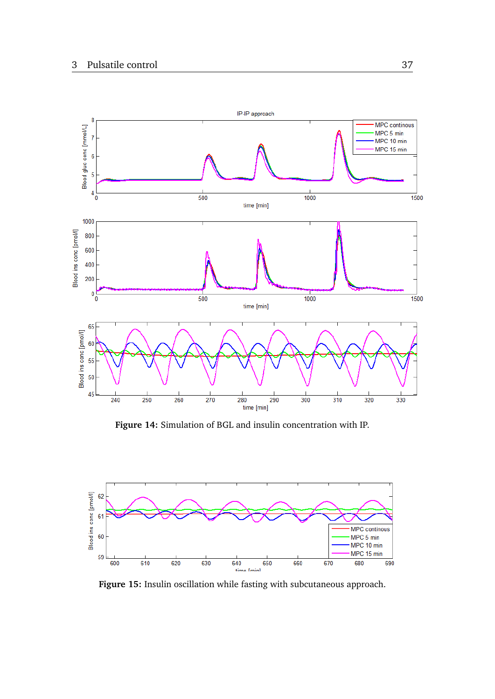<span id="page-48-0"></span>

**Figure 14:** Simulation of BGL and insulin concentration with IP.

<span id="page-48-1"></span>

**Figure 15:** Insulin oscillation while fasting with subcutaneous approach.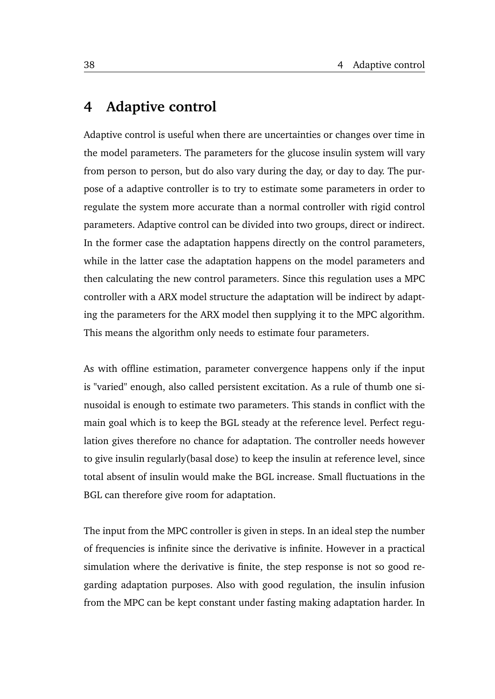# <span id="page-49-0"></span>**4 Adaptive control**

Adaptive control is useful when there are uncertainties or changes over time in the model parameters. The parameters for the glucose insulin system will vary from person to person, but do also vary during the day, or day to day. The purpose of a adaptive controller is to try to estimate some parameters in order to regulate the system more accurate than a normal controller with rigid control parameters. Adaptive control can be divided into two groups, direct or indirect. In the former case the adaptation happens directly on the control parameters, while in the latter case the adaptation happens on the model parameters and then calculating the new control parameters. Since this regulation uses a MPC controller with a ARX model structure the adaptation will be indirect by adapting the parameters for the ARX model then supplying it to the MPC algorithm. This means the algorithm only needs to estimate four parameters.

As with offline estimation, parameter convergence happens only if the input is "varied" enough, also called persistent excitation. As a rule of thumb one sinusoidal is enough to estimate two parameters. This stands in conflict with the main goal which is to keep the BGL steady at the reference level. Perfect regulation gives therefore no chance for adaptation. The controller needs however to give insulin regularly(basal dose) to keep the insulin at reference level, since total absent of insulin would make the BGL increase. Small fluctuations in the BGL can therefore give room for adaptation.

The input from the MPC controller is given in steps. In an ideal step the number of frequencies is infinite since the derivative is infinite. However in a practical simulation where the derivative is finite, the step response is not so good regarding adaptation purposes. Also with good regulation, the insulin infusion from the MPC can be kept constant under fasting making adaptation harder. In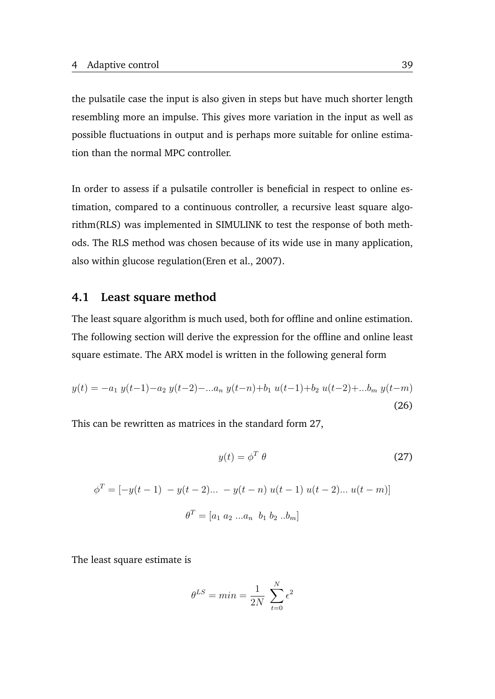the pulsatile case the input is also given in steps but have much shorter length resembling more an impulse. This gives more variation in the input as well as possible fluctuations in output and is perhaps more suitable for online estimation than the normal MPC controller.

In order to assess if a pulsatile controller is beneficial in respect to online estimation, compared to a continuous controller, a recursive least square algorithm(RLS) was implemented in SIMULINK to test the response of both methods. The RLS method was chosen because of its wide use in many application, also within glucose regulation[\(Eren et al.,](#page-64-11) [2007\)](#page-64-11).

### <span id="page-50-0"></span>**4.1 Least square method**

The least square algorithm is much used, both for offline and online estimation. The following section will derive the expression for the offline and online least square estimate. The ARX model is written in the following general form

$$
y(t) = -a_1 y(t-1) - a_2 y(t-2) - \dots a_n y(t-n) + b_1 u(t-1) + b_2 u(t-2) + \dots b_m y(t-m)
$$
\n(26)

This can be rewritten as matrices in the standard form [27,](#page-50-1)

<span id="page-50-1"></span>
$$
y(t) = \phi^T \theta \tag{27}
$$

$$
\phi^T = [-y(t-1) - y(t-2)\dots - y(t-n) u(t-1) u(t-2)\dots u(t-m)]
$$

$$
\theta^T = [a_1 \ a_2 \dots a_n \ b_1 \ b_2 \dots b_m]
$$

The least square estimate is

$$
\theta^{LS} = min = \frac{1}{2N} \sum_{t=0}^{N} \epsilon^2
$$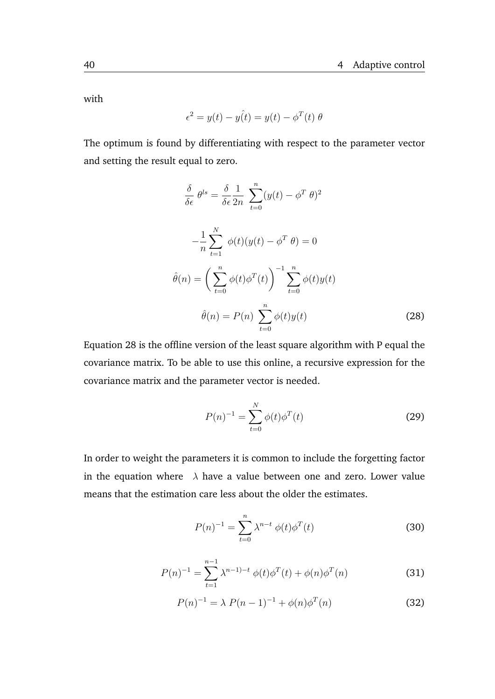with

$$
\epsilon^2 = y(t) - y(t) = y(t) - \phi^T(t) \theta
$$

The optimum is found by differentiating with respect to the parameter vector and setting the result equal to zero.

$$
\frac{\delta}{\delta \epsilon} \theta^{ls} = \frac{\delta}{\delta \epsilon} \frac{1}{2n} \sum_{t=0}^{n} (y(t) - \phi^T \theta)^2
$$

$$
-\frac{1}{n} \sum_{t=1}^{N} \phi(t) (y(t) - \phi^T \theta) = 0
$$

$$
\hat{\theta}(n) = \left(\sum_{t=0}^{n} \phi(t) \phi^T(t)\right)^{-1} \sum_{t=0}^{n} \phi(t) y(t)
$$

$$
\hat{\theta}(n) = P(n) \sum_{t=0}^{n} \phi(t) y(t) \tag{28}
$$

Equation [28](#page-51-0) is the offline version of the least square algorithm with P equal the covariance matrix. To be able to use this online, a recursive expression for the covariance matrix and the parameter vector is needed.

<span id="page-51-0"></span>
$$
P(n)^{-1} = \sum_{t=0}^{N} \phi(t)\phi^{T}(t)
$$
 (29)

In order to weight the parameters it is common to include the forgetting factor in the equation where  $\lambda$  have a value between one and zero. Lower value means that the estimation care less about the older the estimates.

$$
P(n)^{-1} = \sum_{t=0}^{n} \lambda^{n-t} \phi(t) \phi^{T}(t)
$$
 (30)

$$
P(n)^{-1} = \sum_{t=1}^{n-1} \lambda^{n-1-t} \phi(t) \phi^T(t) + \phi(n) \phi^T(n)
$$
 (31)

<span id="page-51-1"></span> $P(n)^{-1} = \lambda P(n-1)^{-1} + \phi(n)\phi^{T}$  $(32)$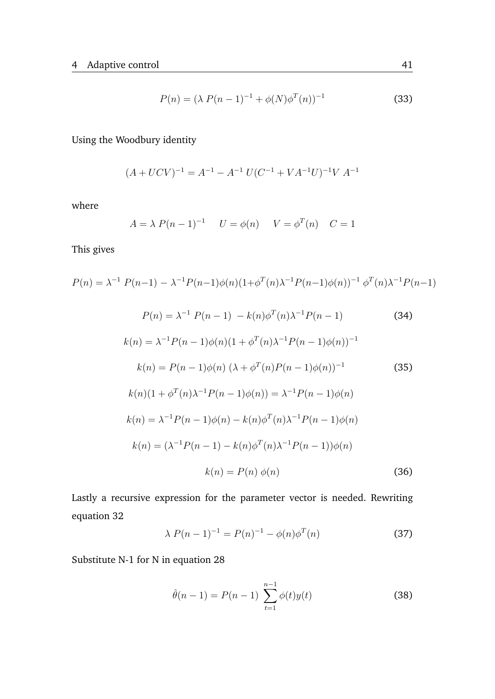$$
P(n) = (\lambda P(n-1)^{-1} + \phi(N)\phi^{T}(n))^{-1}
$$
\n(33)

Using the Woodbury identity

$$
(A+UCV)^{-1}=A^{-1}-A^{-1}\;U(C^{-1}+VA^{-1}U)^{-1}V\;A^{-1}
$$

where

$$
A = \lambda P(n-1)^{-1}
$$
  $U = \phi(n)$   $V = \phi^{T}(n)$   $C = 1$ 

This gives

<span id="page-52-3"></span><span id="page-52-2"></span>
$$
P(n) = \lambda^{-1} P(n-1) - \lambda^{-1} P(n-1) \phi(n) (1 + \phi^T(n) \lambda^{-1} P(n-1) \phi(n))^{-1} \phi^T(n) \lambda^{-1} P(n-1)
$$
  
\n
$$
P(n) = \lambda^{-1} P(n-1) - k(n) \phi^T(n) \lambda^{-1} P(n-1) \qquad (34)
$$
  
\n
$$
k(n) = \lambda^{-1} P(n-1) \phi(n) (1 + \phi^T(n) \lambda^{-1} P(n-1) \phi(n))^{-1}
$$
  
\n
$$
k(n) = P(n-1) \phi(n) (\lambda + \phi^T(n) P(n-1) \phi(n))^{-1} \qquad (35)
$$
  
\n
$$
k(n) (1 + \phi^T(n) \lambda^{-1} P(n-1) \phi(n)) = \lambda^{-1} P(n-1) \phi(n)
$$
  
\n
$$
k(n) = \lambda^{-1} P(n-1) \phi(n) - k(n) \phi^T(n) \lambda^{-1} P(n-1) \phi(n)
$$
  
\n
$$
k(n) = (\lambda^{-1} P(n-1) - k(n) \phi^T(n) \lambda^{-1} P(n-1)) \phi(n)
$$
  
\n
$$
k(n) = P(n) \phi(n) \qquad (36)
$$

Lastly a recursive expression for the parameter vector is needed. Rewriting equation [32](#page-51-1)

<span id="page-52-0"></span>
$$
\lambda P(n-1)^{-1} = P(n)^{-1} - \phi(n)\phi^{T}(n)
$$
\n(37)

Substitute N-1 for N in equation [28](#page-51-0)

<span id="page-52-1"></span>
$$
\hat{\theta}(n-1) = P(n-1) \sum_{t=1}^{n-1} \phi(t)y(t)
$$
\n(38)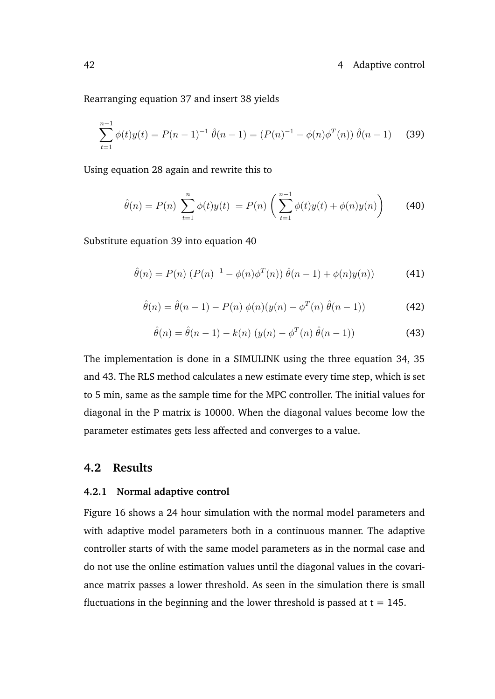Rearranging equation [37](#page-52-0) and insert [38](#page-52-1) yields

<span id="page-53-2"></span>
$$
\sum_{t=1}^{n-1} \phi(t)y(t) = P(n-1)^{-1} \hat{\theta}(n-1) = (P(n)^{-1} - \phi(n)\phi^T(n)) \hat{\theta}(n-1)
$$
 (39)

Using equation [28](#page-51-0) again and rewrite this to

<span id="page-53-3"></span>
$$
\hat{\theta}(n) = P(n) \sum_{t=1}^{n} \phi(t)y(t) = P(n) \left( \sum_{t=1}^{n-1} \phi(t)y(t) + \phi(n)y(n) \right)
$$
(40)

Substitute equation [39](#page-53-2) into equation [40](#page-53-3)

$$
\hat{\theta}(n) = P(n) (P(n)^{-1} - \phi(n)\phi^T(n)) \hat{\theta}(n-1) + \phi(n)y(n))
$$
 (41)

$$
\hat{\theta}(n) = \hat{\theta}(n-1) - P(n) \phi(n)(y(n) - \phi^T(n) \hat{\theta}(n-1))
$$
\n(42)

<span id="page-53-4"></span>
$$
\hat{\theta}(n) = \hat{\theta}(n-1) - k(n) (y(n) - \phi^T(n) \hat{\theta}(n-1))
$$
\n(43)

The implementation is done in a SIMULINK using the three equation [34,](#page-52-2) [35](#page-52-3) and [43.](#page-53-4) The RLS method calculates a new estimate every time step, which is set to 5 min, same as the sample time for the MPC controller. The initial values for diagonal in the P matrix is 10000. When the diagonal values become low the parameter estimates gets less affected and converges to a value.

### <span id="page-53-0"></span>**4.2 Results**

#### <span id="page-53-1"></span>**4.2.1 Normal adaptive control**

Figure [16](#page-54-0) shows a 24 hour simulation with the normal model parameters and with adaptive model parameters both in a continuous manner. The adaptive controller starts of with the same model parameters as in the normal case and do not use the online estimation values until the diagonal values in the covariance matrix passes a lower threshold. As seen in the simulation there is small fluctuations in the beginning and the lower threshold is passed at  $t = 145$ .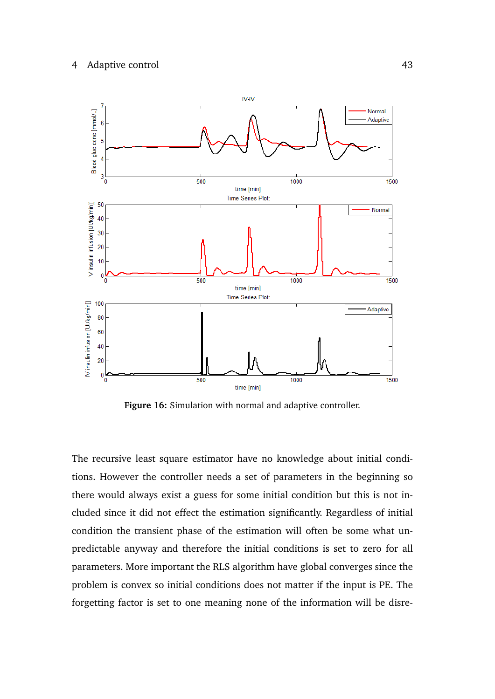<span id="page-54-0"></span>

**Figure 16:** Simulation with normal and adaptive controller.

The recursive least square estimator have no knowledge about initial conditions. However the controller needs a set of parameters in the beginning so there would always exist a guess for some initial condition but this is not included since it did not effect the estimation significantly. Regardless of initial condition the transient phase of the estimation will often be some what unpredictable anyway and therefore the initial conditions is set to zero for all parameters. More important the RLS algorithm have global converges since the problem is convex so initial conditions does not matter if the input is PE. The forgetting factor is set to one meaning none of the information will be disre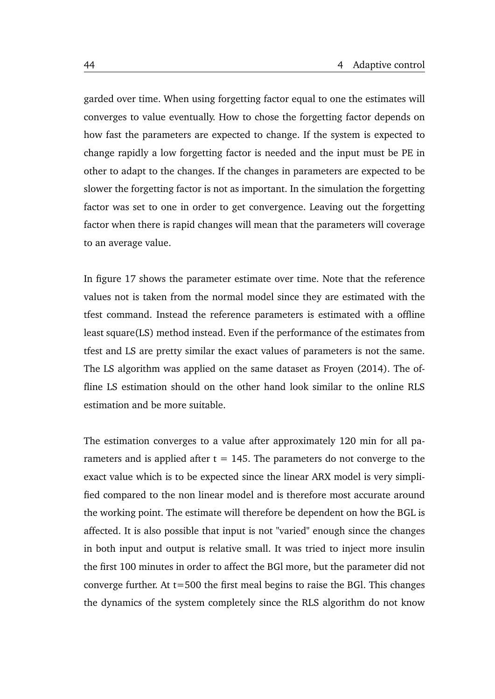garded over time. When using forgetting factor equal to one the estimates will converges to value eventually. How to chose the forgetting factor depends on how fast the parameters are expected to change. If the system is expected to change rapidly a low forgetting factor is needed and the input must be PE in other to adapt to the changes. If the changes in parameters are expected to be slower the forgetting factor is not as important. In the simulation the forgetting factor was set to one in order to get convergence. Leaving out the forgetting factor when there is rapid changes will mean that the parameters will coverage to an average value.

In figure [17](#page-56-0) shows the parameter estimate over time. Note that the reference values not is taken from the normal model since they are estimated with the tfest command. Instead the reference parameters is estimated with a offline least square(LS) method instead. Even if the performance of the estimates from tfest and LS are pretty similar the exact values of parameters is not the same. The LS algorithm was applied on the same dataset as [Froyen](#page-64-3) [\(2014\)](#page-64-3). The offline LS estimation should on the other hand look similar to the online RLS estimation and be more suitable.

The estimation converges to a value after approximately 120 min for all parameters and is applied after  $t = 145$ . The parameters do not converge to the exact value which is to be expected since the linear ARX model is very simplified compared to the non linear model and is therefore most accurate around the working point. The estimate will therefore be dependent on how the BGL is affected. It is also possible that input is not "varied" enough since the changes in both input and output is relative small. It was tried to inject more insulin the first 100 minutes in order to affect the BGl more, but the parameter did not converge further. At t=500 the first meal begins to raise the BGl. This changes the dynamics of the system completely since the RLS algorithm do not know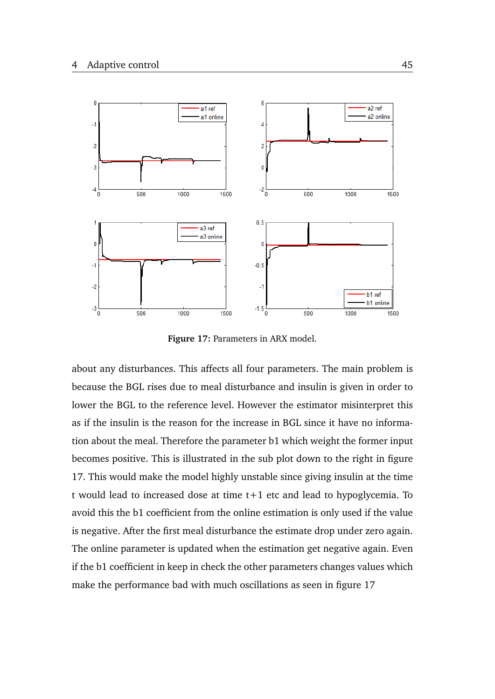<span id="page-56-0"></span>

**Figure 17:** Parameters in ARX model.

about any disturbances. This affects all four parameters. The main problem is because the BGL rises due to meal disturbance and insulin is given in order to lower the BGL to the reference level. However the estimator misinterpret this as if the insulin is the reason for the increase in BGL since it have no information about the meal. Therefore the parameter b1 which weight the former input becomes positive. This is illustrated in the sub plot down to the right in figure [17.](#page-56-0) This would make the model highly unstable since giving insulin at the time t would lead to increased dose at time t+1 etc and lead to hypoglycemia. To avoid this the b1 coefficient from the online estimation is only used if the value is negative. After the first meal disturbance the estimate drop under zero again. The online parameter is updated when the estimation get negative again. Even if the b1 coefficient in keep in check the other parameters changes values which make the performance bad with much oscillations as seen in figure [17](#page-56-0)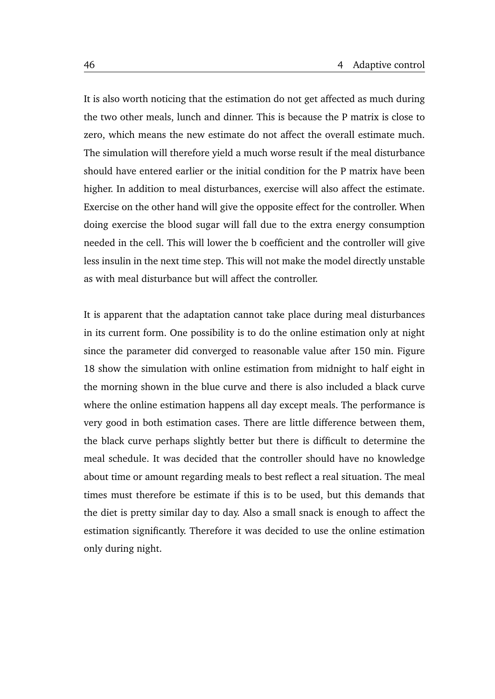It is also worth noticing that the estimation do not get affected as much during the two other meals, lunch and dinner. This is because the P matrix is close to zero, which means the new estimate do not affect the overall estimate much. The simulation will therefore yield a much worse result if the meal disturbance should have entered earlier or the initial condition for the P matrix have been higher. In addition to meal disturbances, exercise will also affect the estimate. Exercise on the other hand will give the opposite effect for the controller. When doing exercise the blood sugar will fall due to the extra energy consumption needed in the cell. This will lower the b coefficient and the controller will give less insulin in the next time step. This will not make the model directly unstable as with meal disturbance but will affect the controller.

It is apparent that the adaptation cannot take place during meal disturbances in its current form. One possibility is to do the online estimation only at night since the parameter did converged to reasonable value after 150 min. Figure [18](#page-58-0) show the simulation with online estimation from midnight to half eight in the morning shown in the blue curve and there is also included a black curve where the online estimation happens all day except meals. The performance is very good in both estimation cases. There are little difference between them, the black curve perhaps slightly better but there is difficult to determine the meal schedule. It was decided that the controller should have no knowledge about time or amount regarding meals to best reflect a real situation. The meal times must therefore be estimate if this is to be used, but this demands that the diet is pretty similar day to day. Also a small snack is enough to affect the estimation significantly. Therefore it was decided to use the online estimation only during night.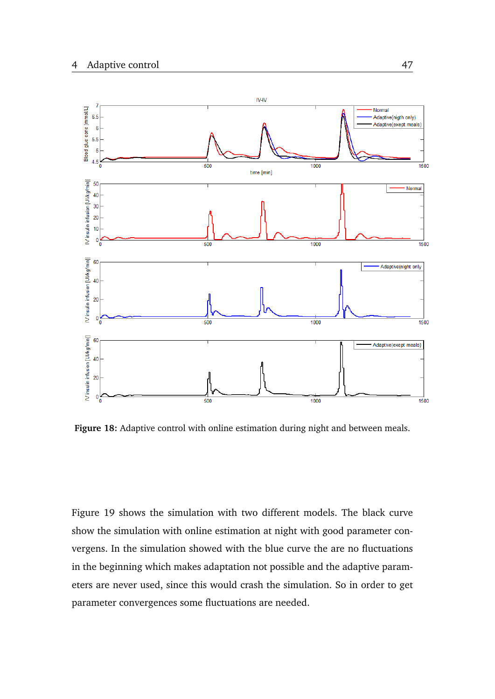<span id="page-58-0"></span>

**Figure 18:** Adaptive control with online estimation during night and between meals.

Figure [19](#page-59-1) shows the simulation with two different models. The black curve show the simulation with online estimation at night with good parameter convergens. In the simulation showed with the blue curve the are no fluctuations in the beginning which makes adaptation not possible and the adaptive parameters are never used, since this would crash the simulation. So in order to get parameter convergences some fluctuations are needed.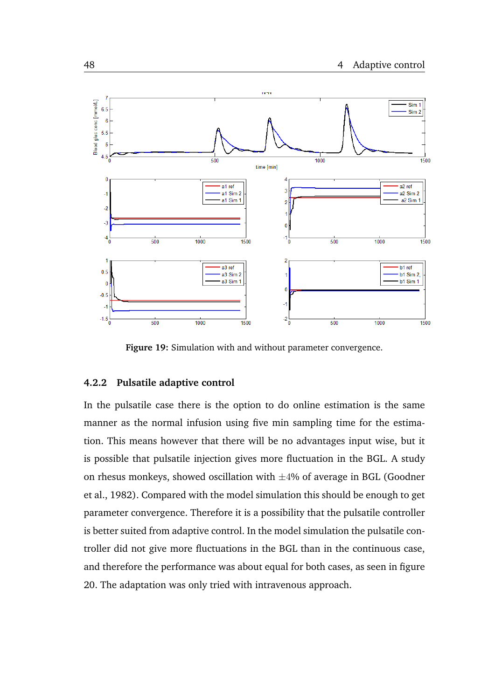<span id="page-59-1"></span>

**Figure 19:** Simulation with and without parameter convergence.

### <span id="page-59-0"></span>**4.2.2 Pulsatile adaptive control**

In the pulsatile case there is the option to do online estimation is the same manner as the normal infusion using five min sampling time for the estimation. This means however that there will be no advantages input wise, but it is possible that pulsatile injection gives more fluctuation in the BGL. A study on rhesus monkeys, showed oscillation with  $\pm 4\%$  of average in BGL [\(Goodner](#page-65-9) [et al.,](#page-65-9) [1982\)](#page-65-9). Compared with the model simulation this should be enough to get parameter convergence. Therefore it is a possibility that the pulsatile controller is better suited from adaptive control. In the model simulation the pulsatile controller did not give more fluctuations in the BGL than in the continuous case, and therefore the performance was about equal for both cases, as seen in figure [20.](#page-60-0) The adaptation was only tried with intravenous approach.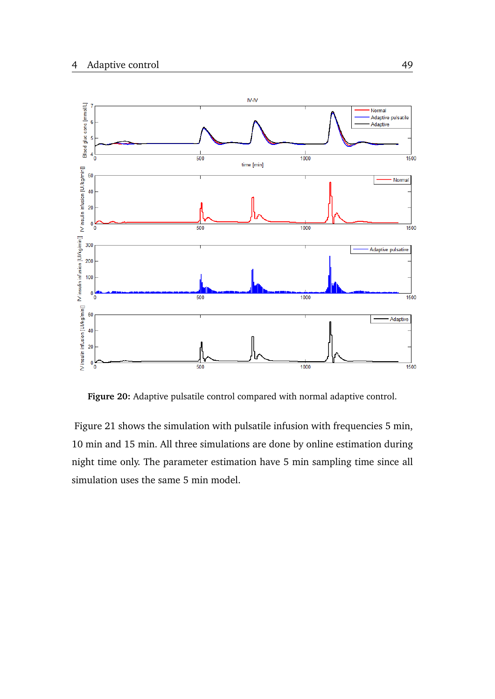<span id="page-60-0"></span>

**Figure 20:** Adaptive pulsatile control compared with normal adaptive control.

Figure [21](#page-61-0) shows the simulation with pulsatile infusion with frequencies 5 min, 10 min and 15 min. All three simulations are done by online estimation during night time only. The parameter estimation have 5 min sampling time since all simulation uses the same 5 min model.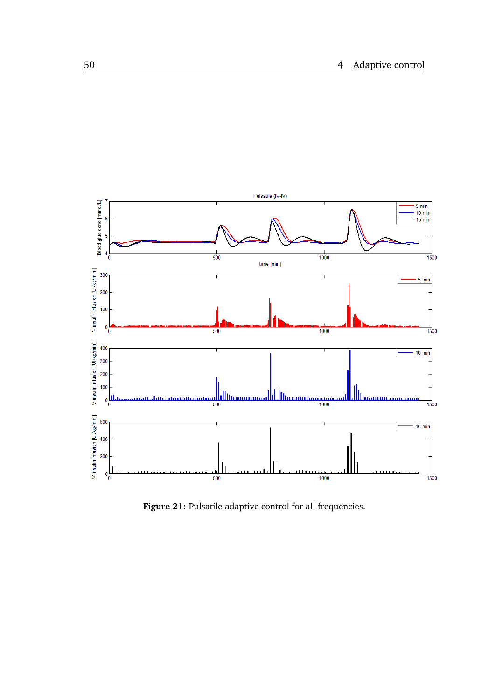<span id="page-61-0"></span>

**Figure 21:** Pulsatile adaptive control for all frequencies.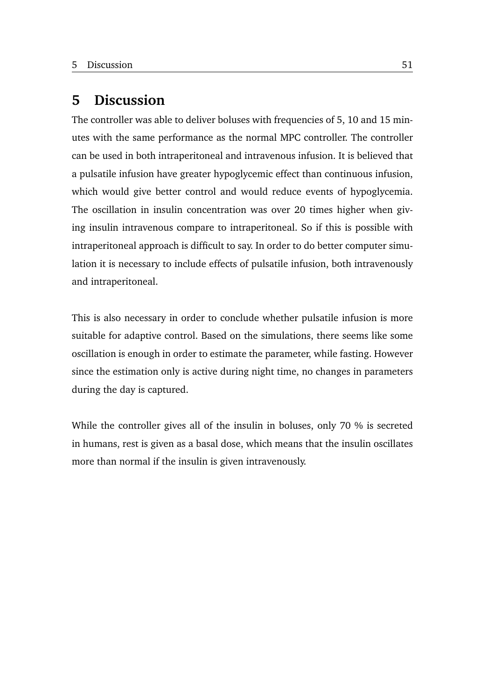### <span id="page-62-0"></span>**5 Discussion**

The controller was able to deliver boluses with frequencies of 5, 10 and 15 minutes with the same performance as the normal MPC controller. The controller can be used in both intraperitoneal and intravenous infusion. It is believed that a pulsatile infusion have greater hypoglycemic effect than continuous infusion, which would give better control and would reduce events of hypoglycemia. The oscillation in insulin concentration was over 20 times higher when giving insulin intravenous compare to intraperitoneal. So if this is possible with intraperitoneal approach is difficult to say. In order to do better computer simulation it is necessary to include effects of pulsatile infusion, both intravenously and intraperitoneal.

This is also necessary in order to conclude whether pulsatile infusion is more suitable for adaptive control. Based on the simulations, there seems like some oscillation is enough in order to estimate the parameter, while fasting. However since the estimation only is active during night time, no changes in parameters during the day is captured.

While the controller gives all of the insulin in boluses, only 70 % is secreted in humans, rest is given as a basal dose, which means that the insulin oscillates more than normal if the insulin is given intravenously.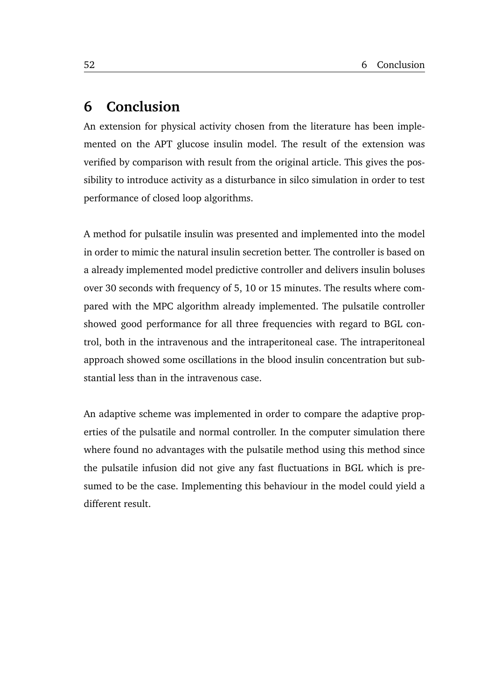### <span id="page-63-0"></span>**6 Conclusion**

An extension for physical activity chosen from the literature has been implemented on the APT glucose insulin model. The result of the extension was verified by comparison with result from the original article. This gives the possibility to introduce activity as a disturbance in silco simulation in order to test performance of closed loop algorithms.

A method for pulsatile insulin was presented and implemented into the model in order to mimic the natural insulin secretion better. The controller is based on a already implemented model predictive controller and delivers insulin boluses over 30 seconds with frequency of 5, 10 or 15 minutes. The results where compared with the MPC algorithm already implemented. The pulsatile controller showed good performance for all three frequencies with regard to BGL control, both in the intravenous and the intraperitoneal case. The intraperitoneal approach showed some oscillations in the blood insulin concentration but substantial less than in the intravenous case.

An adaptive scheme was implemented in order to compare the adaptive properties of the pulsatile and normal controller. In the computer simulation there where found no advantages with the pulsatile method using this method since the pulsatile infusion did not give any fast fluctuations in BGL which is presumed to be the case. Implementing this behaviour in the model could yield a different result.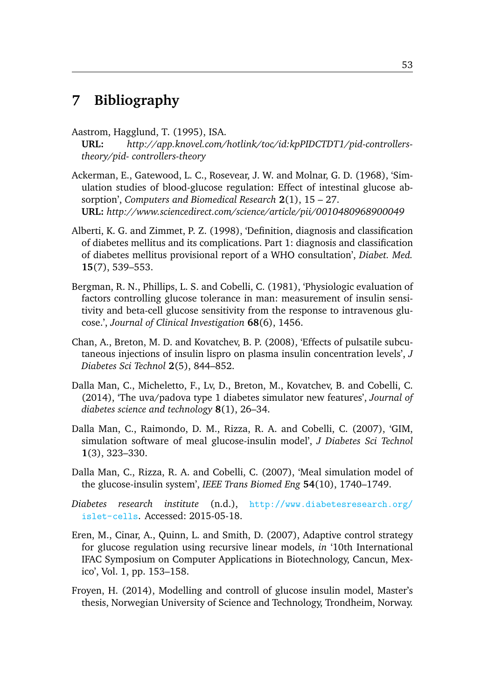# <span id="page-64-0"></span>**7 Bibliography**

<span id="page-64-10"></span>Aastrom, Hagglund, T. (1995), ISA.

**URL:** *http://app.knovel.com/hotlink/toc/id:kpPIDCTDT1/pid-controllerstheory/pid- controllers-theory*

- <span id="page-64-4"></span>Ackerman, E., Gatewood, L. C., Rosevear, J. W. and Molnar, G. D. (1968), 'Simulation studies of blood-glucose regulation: Effect of intestinal glucose absorption', *Computers and Biomedical Research* **2**(1), 15 – 27. **URL:** *http://www.sciencedirect.com/science/article/pii/0010480968900049*
- <span id="page-64-2"></span>Alberti, K. G. and Zimmet, P. Z. (1998), 'Definition, diagnosis and classification of diabetes mellitus and its complications. Part 1: diagnosis and classification of diabetes mellitus provisional report of a WHO consultation', *Diabet. Med.* **15**(7), 539–553.
- <span id="page-64-5"></span>Bergman, R. N., Phillips, L. S. and Cobelli, C. (1981), 'Physiologic evaluation of factors controlling glucose tolerance in man: measurement of insulin sensitivity and beta-cell glucose sensitivity from the response to intravenous glucose.', *Journal of Clinical Investigation* **68**(6), 1456.
- <span id="page-64-9"></span>Chan, A., Breton, M. D. and Kovatchev, B. P. (2008), 'Effects of pulsatile subcutaneous injections of insulin lispro on plasma insulin concentration levels', *J Diabetes Sci Technol* **2**(5), 844–852.
- <span id="page-64-8"></span>Dalla Man, C., Micheletto, F., Lv, D., Breton, M., Kovatchev, B. and Cobelli, C. (2014), 'The uva/padova type 1 diabetes simulator new features', *Journal of diabetes science and technology* **8**(1), 26–34.
- <span id="page-64-7"></span>Dalla Man, C., Raimondo, D. M., Rizza, R. A. and Cobelli, C. (2007), 'GIM, simulation software of meal glucose-insulin model', *J Diabetes Sci Technol* **1**(3), 323–330.
- <span id="page-64-6"></span>Dalla Man, C., Rizza, R. A. and Cobelli, C. (2007), 'Meal simulation model of the glucose-insulin system', *IEEE Trans Biomed Eng* **54**(10), 1740–1749.
- <span id="page-64-1"></span>*Diabetes research institute* (n.d.), [http://www.diabetesresearch.org/](http://www.diabetesresearch.org/islet-cells) [islet-cells](http://www.diabetesresearch.org/islet-cells). Accessed: 2015-05-18.
- <span id="page-64-11"></span>Eren, M., Cinar, A., Quinn, L. and Smith, D. (2007), Adaptive control strategy for glucose regulation using recursive linear models, *in* '10th International IFAC Symposium on Computer Applications in Biotechnology, Cancun, Mexico', Vol. 1, pp. 153–158.
- <span id="page-64-3"></span>Froyen, H. (2014), Modelling and controll of glucose insulin model, Master's thesis, Norwegian University of Science and Technology, Trondheim, Norway.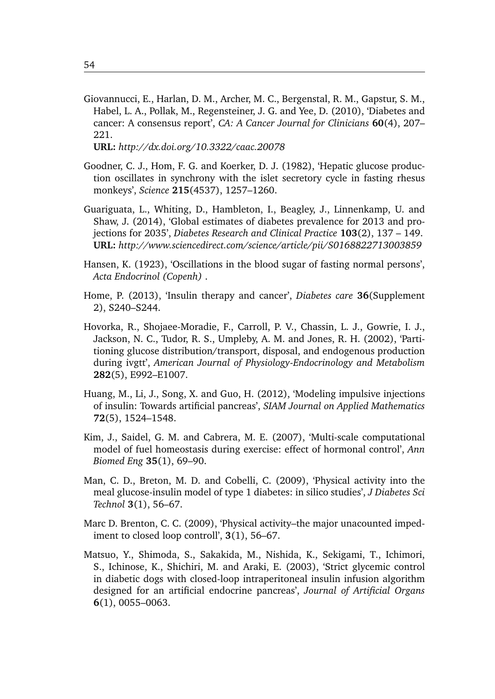<span id="page-65-1"></span>Giovannucci, E., Harlan, D. M., Archer, M. C., Bergenstal, R. M., Gapstur, S. M., Habel, L. A., Pollak, M., Regensteiner, J. G. and Yee, D. (2010), 'Diabetes and cancer: A consensus report', *CA: A Cancer Journal for Clinicians* **60**(4), 207– 221.

**URL:** *http://dx.doi.org/10.3322/caac.20078*

- <span id="page-65-9"></span>Goodner, C. J., Hom, F. G. and Koerker, D. J. (1982), 'Hepatic glucose production oscillates in synchrony with the islet secretory cycle in fasting rhesus monkeys', *Science* **215**(4537), 1257–1260.
- <span id="page-65-0"></span>Guariguata, L., Whiting, D., Hambleton, I., Beagley, J., Linnenkamp, U. and Shaw, J. (2014), 'Global estimates of diabetes prevalence for 2013 and projections for 2035', *Diabetes Research and Clinical Practice* **103**(2), 137 – 149. **URL:** *http://www.sciencedirect.com/science/article/pii/S0168822713003859*
- <span id="page-65-8"></span>Hansen, K. (1923), 'Oscillations in the blood sugar of fasting normal persons', *Acta Endocrinol (Copenh)* .
- <span id="page-65-2"></span>Home, P. (2013), 'Insulin therapy and cancer', *Diabetes care* **36**(Supplement 2), S240–S244.
- <span id="page-65-3"></span>Hovorka, R., Shojaee-Moradie, F., Carroll, P. V., Chassin, L. J., Gowrie, I. J., Jackson, N. C., Tudor, R. S., Umpleby, A. M. and Jones, R. H. (2002), 'Partitioning glucose distribution/transport, disposal, and endogenous production during ivgtt', *American Journal of Physiology-Endocrinology and Metabolism* **282**(5), E992–E1007.
- Huang, M., Li, J., Song, X. and Guo, H. (2012), 'Modeling impulsive injections of insulin: Towards artificial pancreas', *SIAM Journal on Applied Mathematics* **72**(5), 1524–1548.
- <span id="page-65-5"></span>Kim, J., Saidel, G. M. and Cabrera, M. E. (2007), 'Multi-scale computational model of fuel homeostasis during exercise: effect of hormonal control', *Ann Biomed Eng* **35**(1), 69–90.
- <span id="page-65-7"></span>Man, C. D., Breton, M. D. and Cobelli, C. (2009), 'Physical activity into the meal glucose-insulin model of type 1 diabetes: in silico studies', *J Diabetes Sci Technol* **3**(1), 56–67.
- <span id="page-65-6"></span>Marc D. Brenton, C. C. (2009), 'Physical activity–the major unacounted impediment to closed loop controll', **3**(1), 56–67.
- <span id="page-65-4"></span>Matsuo, Y., Shimoda, S., Sakakida, M., Nishida, K., Sekigami, T., Ichimori, S., Ichinose, K., Shichiri, M. and Araki, E. (2003), 'Strict glycemic control in diabetic dogs with closed-loop intraperitoneal insulin infusion algorithm designed for an artificial endocrine pancreas', *Journal of Artificial Organs* **6**(1), 0055–0063.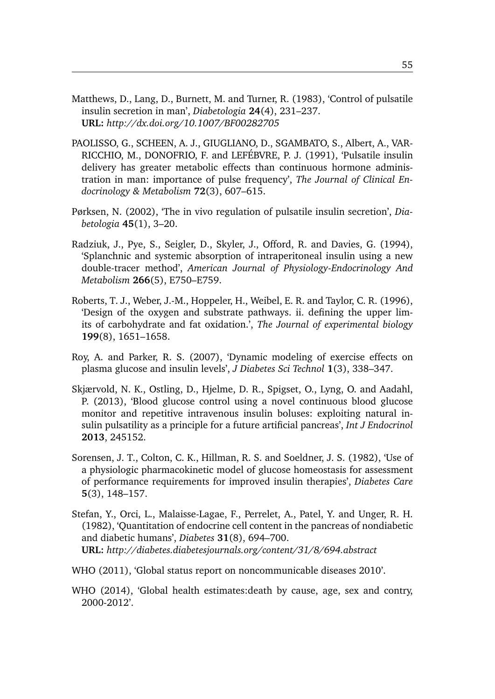- <span id="page-66-7"></span>Matthews, D., Lang, D., Burnett, M. and Turner, R. (1983), 'Control of pulsatile insulin secretion in man', *Diabetologia* **24**(4), 231–237. **URL:** *http://dx.doi.org/10.1007/BF00282705*
- <span id="page-66-9"></span>PAOLISSO, G., SCHEEN, A. J., GIUGLIANO, D., SGAMBATO, S., Albert, A., VAR-RICCHIO, M., DONOFRIO, F. and LEFÉBVRE, P. J. (1991), 'Pulsatile insulin delivery has greater metabolic effects than continuous hormone administration in man: importance of pulse frequency', *The Journal of Clinical Endocrinology & Metabolism* **72**(3), 607–615.
- <span id="page-66-8"></span>Pørksen, N. (2002), 'The in vivo regulation of pulsatile insulin secretion', *Diabetologia* **45**(1), 3–20.
- <span id="page-66-4"></span>Radziuk, J., Pye, S., Seigler, D., Skyler, J., Offord, R. and Davies, G. (1994), 'Splanchnic and systemic absorption of intraperitoneal insulin using a new double-tracer method', *American Journal of Physiology-Endocrinology And Metabolism* **266**(5), E750–E759.
- <span id="page-66-6"></span>Roberts, T. J., Weber, J.-M., Hoppeler, H., Weibel, E. R. and Taylor, C. R. (1996), 'Design of the oxygen and substrate pathways. ii. defining the upper limits of carbohydrate and fat oxidation.', *The Journal of experimental biology* **199**(8), 1651–1658.
- <span id="page-66-5"></span>Roy, A. and Parker, R. S. (2007), 'Dynamic modeling of exercise effects on plasma glucose and insulin levels', *J Diabetes Sci Technol* **1**(3), 338–347.
- <span id="page-66-10"></span>Skjærvold, N. K., Ostling, D., Hjelme, D. R., Spigset, O., Lyng, O. and Aadahl, P. (2013), 'Blood glucose control using a novel continuous blood glucose monitor and repetitive intravenous insulin boluses: exploiting natural insulin pulsatility as a principle for a future artificial pancreas', *Int J Endocrinol* **2013**, 245152.
- <span id="page-66-3"></span>Sorensen, J. T., Colton, C. K., Hillman, R. S. and Soeldner, J. S. (1982), 'Use of a physiologic pharmacokinetic model of glucose homeostasis for assessment of performance requirements for improved insulin therapies', *Diabetes Care* **5**(3), 148–157.
- <span id="page-66-0"></span>Stefan, Y., Orci, L., Malaisse-Lagae, F., Perrelet, A., Patel, Y. and Unger, R. H. (1982), 'Quantitation of endocrine cell content in the pancreas of nondiabetic and diabetic humans', *Diabetes* **31**(8), 694–700. **URL:** *http://diabetes.diabetesjournals.org/content/31/8/694.abstract*
- <span id="page-66-1"></span>WHO (2011), 'Global status report on noncommunicable diseases 2010'.
- <span id="page-66-2"></span>WHO (2014), 'Global health estimates:death by cause, age, sex and contry, 2000-2012'.